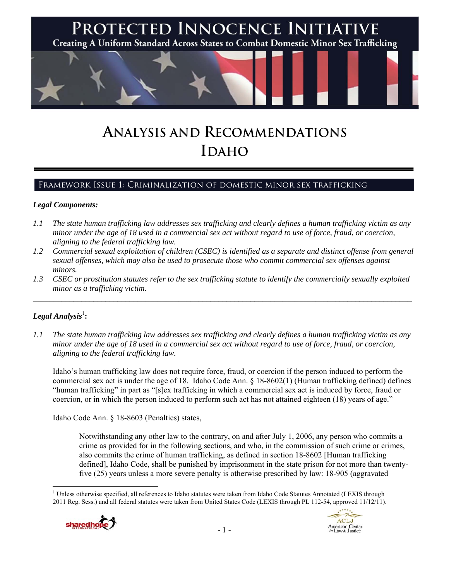

# **ANALYSIS AND RECOMMENDATIONS IDAHO**

# Framework Issue 1: Criminalization of domestic minor sex trafficking

#### *Legal Components:*

- *1.1 The state human trafficking law addresses sex trafficking and clearly defines a human trafficking victim as any minor under the age of 18 used in a commercial sex act without regard to use of force, fraud, or coercion, aligning to the federal trafficking law.*
- *1.2 Commercial sexual exploitation of children (CSEC) is identified as a separate and distinct offense from general sexual offenses, which may also be used to prosecute those who commit commercial sex offenses against minors.*
- *1.3 CSEC or prostitution statutes refer to the sex trafficking statute to identify the commercially sexually exploited minor as a trafficking victim.*   $\mathcal{L}_\mathcal{L} = \{ \mathcal{L}_\mathcal{L} = \{ \mathcal{L}_\mathcal{L} = \{ \mathcal{L}_\mathcal{L} = \{ \mathcal{L}_\mathcal{L} = \{ \mathcal{L}_\mathcal{L} = \{ \mathcal{L}_\mathcal{L} = \{ \mathcal{L}_\mathcal{L} = \{ \mathcal{L}_\mathcal{L} = \{ \mathcal{L}_\mathcal{L} = \{ \mathcal{L}_\mathcal{L} = \{ \mathcal{L}_\mathcal{L} = \{ \mathcal{L}_\mathcal{L} = \{ \mathcal{L}_\mathcal{L} = \{ \mathcal{L}_\mathcal{$

## $\boldsymbol{Legal}$  Analysis $^{\mathrm{l}}$  :

*1.1 The state human trafficking law addresses sex trafficking and clearly defines a human trafficking victim as any minor under the age of 18 used in a commercial sex act without regard to use of force, fraud, or coercion, aligning to the federal trafficking law.*

Idaho's human trafficking law does not require force, fraud, or coercion if the person induced to perform the commercial sex act is under the age of 18. Idaho Code Ann. § 18-8602(1) (Human trafficking defined) defines "human trafficking" in part as "[s]ex trafficking in which a commercial sex act is induced by force, fraud or coercion, or in which the person induced to perform such act has not attained eighteen (18) years of age."

Idaho Code Ann. § 18-8603 (Penalties) states,

Notwithstanding any other law to the contrary, on and after July 1, 2006, any person who commits a crime as provided for in the following sections, and who, in the commission of such crime or crimes, also commits the crime of human trafficking, as defined in section 18-8602 [Human trafficking defined], Idaho Code, shall be punished by imprisonment in the state prison for not more than twentyfive (25) years unless a more severe penalty is otherwise prescribed by law: 18-905 (aggravated

 <sup>1</sup> Unless otherwise specified, all references to Idaho statutes were taken from Idaho Code Statutes Annotated (LEXIS through 2011 Reg. Sess.) and all federal statutes were taken from United States Code (LEXIS through PL 112-54, approved 11/12/11).

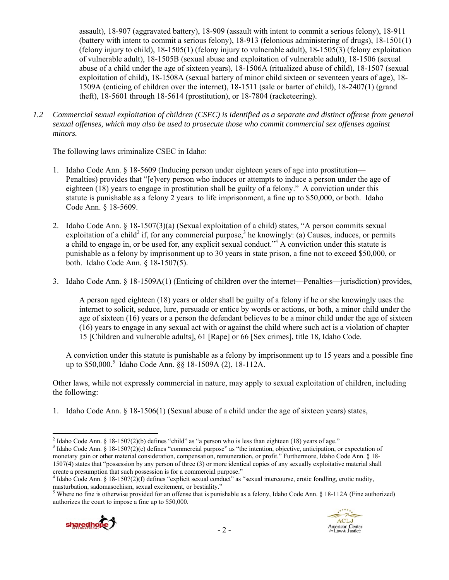assault), 18-907 (aggravated battery), 18-909 (assault with intent to commit a serious felony), 18-911 (battery with intent to commit a serious felony), 18-913 (felonious administering of drugs), 18-1501(1) (felony injury to child), 18-1505(1) (felony injury to vulnerable adult), 18-1505(3) (felony exploitation of vulnerable adult), 18-1505B (sexual abuse and exploitation of vulnerable adult), 18-1506 (sexual abuse of a child under the age of sixteen years), 18-1506A (ritualized abuse of child), 18-1507 (sexual exploitation of child), 18-1508A (sexual battery of minor child sixteen or seventeen years of age), 18- 1509A (enticing of children over the internet), 18-1511 (sale or barter of child), 18-2407(1) (grand theft), 18-5601 through 18-5614 (prostitution), or 18-7804 (racketeering).

*1.2 Commercial sexual exploitation of children (CSEC) is identified as a separate and distinct offense from general sexual offenses, which may also be used to prosecute those who commit commercial sex offenses against minors.*

The following laws criminalize CSEC in Idaho:

- 1. Idaho Code Ann. § 18-5609 (Inducing person under eighteen years of age into prostitution— Penalties) provides that "[e]very person who induces or attempts to induce a person under the age of eighteen (18) years to engage in prostitution shall be guilty of a felony." A conviction under this statute is punishable as a felony 2 years to life imprisonment, a fine up to \$50,000, or both. Idaho Code Ann. § 18-5609.
- 2. Idaho Code Ann. § 18-1507(3)(a) (Sexual exploitation of a child) states, "A person commits sexual exploitation of a child<sup>2</sup> if, for any commercial purpose,<sup>3</sup> he knowingly: (a) Causes, induces, or permits a child to engage in, or be used for, any explicit sexual conduct."<sup>4</sup> A conviction under this statute is punishable as a felony by imprisonment up to 30 years in state prison, a fine not to exceed \$50,000, or both. Idaho Code Ann. § 18-1507(5).
- 3. Idaho Code Ann. § 18-1509A(1) (Enticing of children over the internet—Penalties—jurisdiction) provides,

A person aged eighteen (18) years or older shall be guilty of a felony if he or she knowingly uses the internet to solicit, seduce, lure, persuade or entice by words or actions, or both, a minor child under the age of sixteen (16) years or a person the defendant believes to be a minor child under the age of sixteen (16) years to engage in any sexual act with or against the child where such act is a violation of chapter 15 [Children and vulnerable adults], 61 [Rape] or 66 [Sex crimes], title 18, Idaho Code.

A conviction under this statute is punishable as a felony by imprisonment up to 15 years and a possible fine up to \$50,000.<sup>5</sup> Idaho Code Ann. §§ 18-1509A (2), 18-112A.

Other laws, while not expressly commercial in nature, may apply to sexual exploitation of children, including the following:

1. Idaho Code Ann. § 18-1506(1) (Sexual abuse of a child under the age of sixteen years) states,

<sup>&</sup>lt;sup>5</sup> Where no fine is otherwise provided for an offense that is punishable as a felony, Idaho Code Ann. § 18-112A (Fine authorized) authorizes the court to impose a fine up to \$50,000.



 <sup>2</sup> Idaho Code Ann. § 18-1507(2)(b) defines "child" as "a person who is less than eighteen (18) years of age."  $\frac{3}{3}$  Idaho Code Ann. § 18.1507(2)(c) defines "commercial purpose" as "the intention chiestive entiginatio

<sup>&</sup>lt;sup>3</sup> Idaho Code Ann. § 18-1507(2)(c) defines "commercial purpose" as "the intention, objective, anticipation, or expectation of monetary gain or other material consideration, compensation, remuneration, or profit." Furthermore, Idaho Code Ann. § 18-1507(4) states that "possession by any person of three (3) or more identical copies of any sexually exploitative material shall create a presumption that such possession is for a commercial purpose." 4

<sup>&</sup>lt;sup>4</sup> Idaho Code Ann. § 18-1507(2)(f) defines "explicit sexual conduct" as "sexual intercourse, erotic fondling, erotic nudity, masturbation, sadomasochism, sexual excitement, or bestiality." 5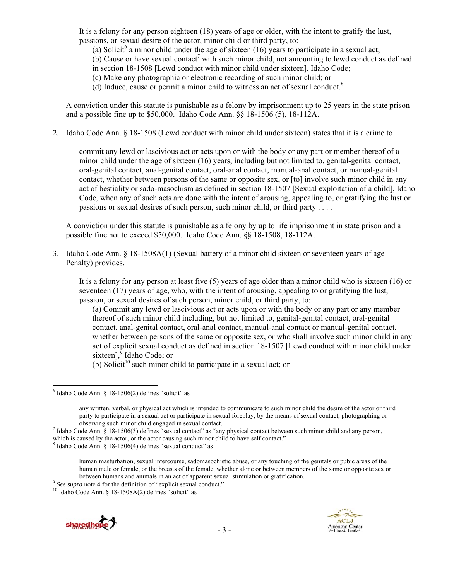It is a felony for any person eighteen (18) years of age or older, with the intent to gratify the lust, passions, or sexual desire of the actor, minor child or third party, to:

(a) Solicit<sup>6</sup> a minor child under the age of sixteen (16) years to participate in a sexual act;

 $(b)$  Cause or have sexual contact<sup>7</sup> with such minor child, not amounting to lewd conduct as defined in section 18-1508 [Lewd conduct with minor child under sixteen], Idaho Code;

(c) Make any photographic or electronic recording of such minor child; or

(d) Induce, cause or permit a minor child to witness an act of sexual conduct.<sup>8</sup>

A conviction under this statute is punishable as a felony by imprisonment up to 25 years in the state prison and a possible fine up to \$50,000. Idaho Code Ann. §§ 18-1506 (5), 18-112A.

2. Idaho Code Ann. § 18-1508 (Lewd conduct with minor child under sixteen) states that it is a crime to

commit any lewd or lascivious act or acts upon or with the body or any part or member thereof of a minor child under the age of sixteen (16) years, including but not limited to, genital-genital contact, oral-genital contact, anal-genital contact, oral-anal contact, manual-anal contact, or manual-genital contact, whether between persons of the same or opposite sex, or [to] involve such minor child in any act of bestiality or sado-masochism as defined in section 18-1507 [Sexual exploitation of a child], Idaho Code, when any of such acts are done with the intent of arousing, appealing to, or gratifying the lust or passions or sexual desires of such person, such minor child, or third party . . . .

A conviction under this statute is punishable as a felony by up to life imprisonment in state prison and a possible fine not to exceed \$50,000. Idaho Code Ann. §§ 18-1508, 18-112A.

3. Idaho Code Ann. § 18-1508A(1) (Sexual battery of a minor child sixteen or seventeen years of age— Penalty) provides,

It is a felony for any person at least five (5) years of age older than a minor child who is sixteen (16) or seventeen (17) years of age, who, with the intent of arousing, appealing to or gratifying the lust, passion, or sexual desires of such person, minor child, or third party, to:

(a) Commit any lewd or lascivious act or acts upon or with the body or any part or any member thereof of such minor child including, but not limited to, genital-genital contact, oral-genital contact, anal-genital contact, oral-anal contact, manual-anal contact or manual-genital contact, whether between persons of the same or opposite sex, or who shall involve such minor child in any act of explicit sexual conduct as defined in section 18-1507 [Lewd conduct with minor child under sixteen],<sup>9</sup> Idaho Code; or

(b) Solicit<sup>10</sup> such minor child to participate in a sexual act; or





 $6$  Idaho Code Ann. § 18-1506(2) defines "solicit" as

any written, verbal, or physical act which is intended to communicate to such minor child the desire of the actor or third party to participate in a sexual act or participate in sexual foreplay, by the means of sexual contact, photographing or observing such minor child engaged in sexual contact. 7

 $<sup>7</sup>$  Idaho Code Ann. § 18-1506(3) defines "sexual contact" as "any physical contact between such minor child and any person,</sup> which is caused by the actor, or the actor causing such minor child to have self contact."

 $\frac{8}{1}$ Idaho Code Ann. § 18-1506(4) defines "sexual conduct" as

human masturbation, sexual intercourse, sadomasochistic abuse, or any touching of the genitals or pubic areas of the human male or female, or the breasts of the female, whether alone or between members of the same or opposite sex or <sup>9</sup> *See supra* note 4 for the definition of "explicit sexual conduct." <sup>10</sup> Idaho Code Ann. § 18-1508A(2) defines "solicit" as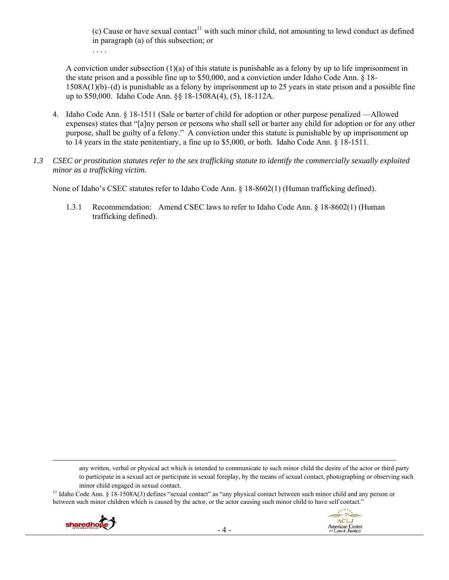(c) Cause or have sexual contact<sup>11</sup> with such minor child, not amounting to lewd conduct as defined in paragraph (a) of this subsection; or

. . . .

A conviction under subsection (1)(a) of this statute is punishable as a felony by up to life imprisonment in the state prison and a possible fine up to \$50,000, and a conviction under Idaho Code Ann. § 18- 1508A(1)(b)–(d) is punishable as a felony by imprisonment up to 25 years in state prison and a possible fine up to \$50,000. Idaho Code Ann. §§ 18-1508A(4), (5), 18-112A.

- 4. Idaho Code Ann. § 18-1511 (Sale or barter of child for adoption or other purpose penalized —Allowed expenses) states that "[a]ny person or persons who shall sell or barter any child for adoption or for any other purpose, shall be guilty of a felony." A conviction under this statute is punishable by up imprisonment up to 14 years in the state penitentiary, a fine up to \$5,000, or both. Idaho Code Ann. § 18-1511.
- *1.3 CSEC or prostitution statutes refer to the sex trafficking statute to identify the commercially sexually exploited minor as a trafficking victim.*

None of Idaho's CSEC statutes refer to Idaho Code Ann. § 18-8602(1) (Human trafficking defined).

1.3.1 Recommendation: Amend CSEC laws to refer to Idaho Code Ann. § 18-8602(1) (Human trafficking defined).

any written, verbal or physical act which is intended to communicate to such minor child the desire of the actor or third party to participate in a sexual act or participate in sexual foreplay, by the means of sexual contact, photographing or observing such

minor child engaged in sexual contact.<br><sup>11</sup> Idaho Code Ann. § 18-1508A(3) defines "sexual contact" as "any physical contact between such minor child and any person or between such minor children which is caused by the actor, or the actor causing such minor child to have self contact."

<u> Andrewski politika (za obrazu za obrazu za obrazu za obrazu za obrazu za obrazu za obrazu za obrazu za obrazu</u>



ACLJ

American Center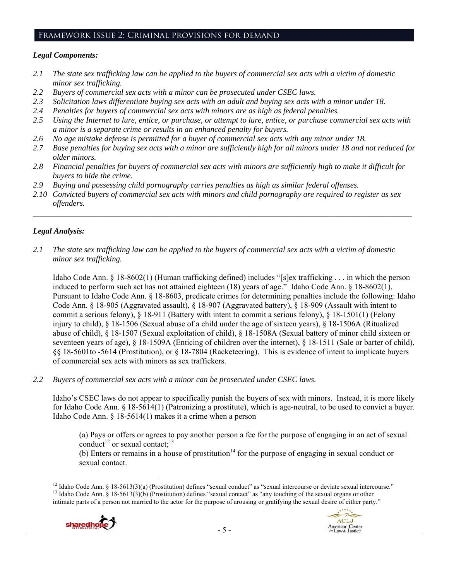#### Framework Issue 2: Criminal provisions for demand

#### *Legal Components:*

- *2.1 The state sex trafficking law can be applied to the buyers of commercial sex acts with a victim of domestic minor sex trafficking.*
- *2.2 Buyers of commercial sex acts with a minor can be prosecuted under CSEC laws.*
- *2.3 Solicitation laws differentiate buying sex acts with an adult and buying sex acts with a minor under 18.*
- *2.4 Penalties for buyers of commercial sex acts with minors are as high as federal penalties.*
- *2.5 Using the Internet to lure, entice, or purchase, or attempt to lure, entice, or purchase commercial sex acts with a minor is a separate crime or results in an enhanced penalty for buyers.*
- *2.6 No age mistake defense is permitted for a buyer of commercial sex acts with any minor under 18.*
- *2.7 Base penalties for buying sex acts with a minor are sufficiently high for all minors under 18 and not reduced for older minors.*
- *2.8 Financial penalties for buyers of commercial sex acts with minors are sufficiently high to make it difficult for buyers to hide the crime.*
- *2.9 Buying and possessing child pornography carries penalties as high as similar federal offenses.*
- *2.10 Convicted buyers of commercial sex acts with minors and child pornography are required to register as sex offenders.*

 $\mathcal{L}_\mathcal{L} = \{ \mathcal{L}_\mathcal{L} = \{ \mathcal{L}_\mathcal{L} = \{ \mathcal{L}_\mathcal{L} = \{ \mathcal{L}_\mathcal{L} = \{ \mathcal{L}_\mathcal{L} = \{ \mathcal{L}_\mathcal{L} = \{ \mathcal{L}_\mathcal{L} = \{ \mathcal{L}_\mathcal{L} = \{ \mathcal{L}_\mathcal{L} = \{ \mathcal{L}_\mathcal{L} = \{ \mathcal{L}_\mathcal{L} = \{ \mathcal{L}_\mathcal{L} = \{ \mathcal{L}_\mathcal{L} = \{ \mathcal{L}_\mathcal{$ 

# *Legal Analysis:*

*2.1 The state sex trafficking law can be applied to the buyers of commercial sex acts with a victim of domestic minor sex trafficking.*

Idaho Code Ann. § 18-8602(1) (Human trafficking defined) includes "[s]ex trafficking . . . in which the person induced to perform such act has not attained eighteen (18) years of age." Idaho Code Ann. § 18-8602(1). Pursuant to Idaho Code Ann. § 18-8603, predicate crimes for determining penalties include the following: Idaho Code Ann. § 18-905 (Aggravated assault), § 18-907 (Aggravated battery), § 18-909 (Assault with intent to commit a serious felony), § 18-911 (Battery with intent to commit a serious felony), § 18-1501(1) (Felony injury to child), § 18-1506 (Sexual abuse of a child under the age of sixteen years), § 18-1506A (Ritualized abuse of child), § 18-1507 (Sexual exploitation of child), § 18-1508A (Sexual battery of minor child sixteen or seventeen years of age), § 18-1509A (Enticing of children over the internet), § 18-1511 (Sale or barter of child), §§ 18-5601to -5614 (Prostitution), or § 18-7804 (Racketeering). This is evidence of intent to implicate buyers of commercial sex acts with minors as sex traffickers.

*2.2 Buyers of commercial sex acts with a minor can be prosecuted under CSEC laws.* 

Idaho's CSEC laws do not appear to specifically punish the buyers of sex with minors. Instead, it is more likely for Idaho Code Ann. § 18-5614(1) (Patronizing a prostitute), which is age-neutral, to be used to convict a buyer. Idaho Code Ann. § 18-5614(1) makes it a crime when a person

(a) Pays or offers or agrees to pay another person a fee for the purpose of engaging in an act of sexual conduct<sup>12</sup> or sexual contact;<sup>13</sup>

(b) Enters or remains in a house of prostitution<sup>14</sup> for the purpose of engaging in sexual conduct or sexual contact.

 <sup>12</sup> Idaho Code Ann. § 18-5613(3)(a) (Prostitution) defines "sexual conduct" as "sexual intercourse or deviate sexual intercourse."<br><sup>13</sup> Idaho Code Ann. § 18-5613(3)(b) (Prostitution) defines "sexual contact" as "any touc intimate parts of a person not married to the actor for the purpose of arousing or gratifying the sexual desire of either party."

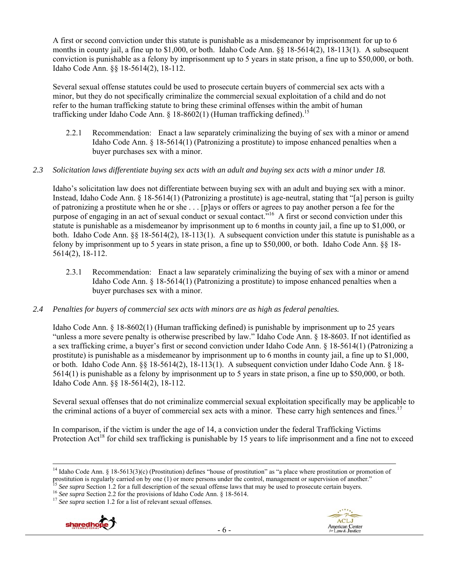A first or second conviction under this statute is punishable as a misdemeanor by imprisonment for up to 6 months in county jail, a fine up to \$1,000, or both. Idaho Code Ann. §§ 18-5614(2), 18-113(1). A subsequent conviction is punishable as a felony by imprisonment up to 5 years in state prison, a fine up to \$50,000, or both. Idaho Code Ann. §§ 18-5614(2), 18-112.

Several sexual offense statutes could be used to prosecute certain buyers of commercial sex acts with a minor, but they do not specifically criminalize the commercial sexual exploitation of a child and do not refer to the human trafficking statute to bring these criminal offenses within the ambit of human trafficking under Idaho Code Ann. § 18-8602(1) (Human trafficking defined).<sup>15</sup>

2.2.1 Recommendation: Enact a law separately criminalizing the buying of sex with a minor or amend Idaho Code Ann. § 18-5614(1) (Patronizing a prostitute) to impose enhanced penalties when a buyer purchases sex with a minor.

#### *2.3 Solicitation laws differentiate buying sex acts with an adult and buying sex acts with a minor under 18.*

Idaho's solicitation law does not differentiate between buying sex with an adult and buying sex with a minor. Instead, Idaho Code Ann. § 18-5614(1) (Patronizing a prostitute) is age-neutral, stating that "[a] person is guilty of patronizing a prostitute when he or she . . . [p]ays or offers or agrees to pay another person a fee for the purpose of engaging in an act of sexual conduct or sexual contact.<sup>"16</sup> A first or second conviction under this statute is punishable as a misdemeanor by imprisonment up to 6 months in county jail, a fine up to \$1,000, or both. Idaho Code Ann. §§ 18-5614(2), 18-113(1). A subsequent conviction under this statute is punishable as a felony by imprisonment up to 5 years in state prison, a fine up to \$50,000, or both. Idaho Code Ann. §§ 18- 5614(2), 18-112.

2.3.1 Recommendation: Enact a law separately criminalizing the buying of sex with a minor or amend Idaho Code Ann. § 18-5614(1) (Patronizing a prostitute) to impose enhanced penalties when a buyer purchases sex with a minor.

#### *2.4 Penalties for buyers of commercial sex acts with minors are as high as federal penalties.*

Idaho Code Ann. § 18-8602(1) (Human trafficking defined) is punishable by imprisonment up to 25 years "unless a more severe penalty is otherwise prescribed by law." Idaho Code Ann. § 18-8603. If not identified as a sex trafficking crime, a buyer's first or second conviction under Idaho Code Ann. § 18-5614(1) (Patronizing a prostitute) is punishable as a misdemeanor by imprisonment up to 6 months in county jail, a fine up to \$1,000, or both. Idaho Code Ann. §§ 18-5614(2), 18-113(1). A subsequent conviction under Idaho Code Ann. § 18- 5614(1) is punishable as a felony by imprisonment up to 5 years in state prison, a fine up to \$50,000, or both. Idaho Code Ann. §§ 18-5614(2), 18-112.

Several sexual offenses that do not criminalize commercial sexual exploitation specifically may be applicable to the criminal actions of a buyer of commercial sex acts with a minor. These carry high sentences and fines.<sup>17</sup>

In comparison, if the victim is under the age of 14, a conviction under the federal Trafficking Victims Protection  $Act^{18}$  for child sex trafficking is punishable by 15 years to life imprisonment and a fine not to exceed



<sup>&</sup>lt;sup>14</sup> Idaho Code Ann. § 18-5613(3)(c) (Prostitution) defines "house of prostitution" as "a place where prostitution or promotion of prostitution is regularly carried on by one (1) or more persons under the control, management or supervision of another."<br>
<sup>15</sup> See supra Section 1.2 for a full description of the sexual offense laws that may be used to p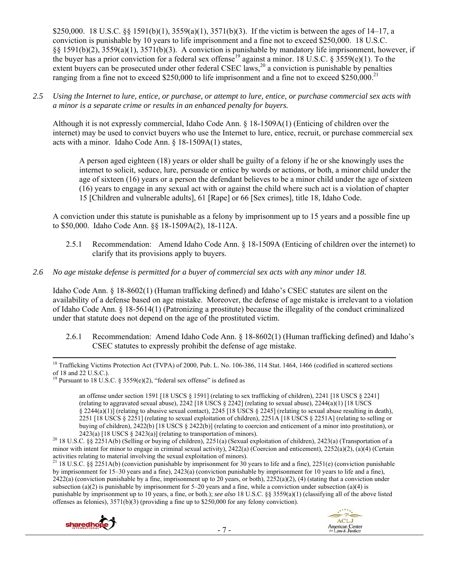\$250,000. 18 U.S.C. §§ 1591(b)(1),  $3559(a)(1)$ ,  $3571(b)(3)$ . If the victim is between the ages of 14–17, a conviction is punishable by 10 years to life imprisonment and a fine not to exceed \$250,000. 18 U.S.C. §§ 1591(b)(2), 3559(a)(1), 3571(b)(3). A conviction is punishable by mandatory life imprisonment, however, if the buyer has a prior conviction for a federal sex offense<sup>19</sup> against a minor. 18 U.S.C. § 3559(e)(1). To the extent buyers can be prosecuted under other federal CSEC laws,<sup>20</sup> a conviction is punishable by penalties ranging from a fine not to exceed \$250,000 to life imprisonment and a fine not to exceed \$250,000.<sup>21</sup>

*2.5 Using the Internet to lure, entice, or purchase, or attempt to lure, entice, or purchase commercial sex acts with a minor is a separate crime or results in an enhanced penalty for buyers.* 

Although it is not expressly commercial, Idaho Code Ann. § 18-1509A(1) (Enticing of children over the internet) may be used to convict buyers who use the Internet to lure, entice, recruit, or purchase commercial sex acts with a minor. Idaho Code Ann. § 18-1509A(1) states,

A person aged eighteen (18) years or older shall be guilty of a felony if he or she knowingly uses the internet to solicit, seduce, lure, persuade or entice by words or actions, or both, a minor child under the age of sixteen (16) years or a person the defendant believes to be a minor child under the age of sixteen (16) years to engage in any sexual act with or against the child where such act is a violation of chapter 15 [Children and vulnerable adults], 61 [Rape] or 66 [Sex crimes], title 18, Idaho Code.

A conviction under this statute is punishable as a felony by imprisonment up to 15 years and a possible fine up to \$50,000. Idaho Code Ann. §§ 18-1509A(2), 18-112A.

2.5.1 Recommendation: Amend Idaho Code Ann. § 18-1509A (Enticing of children over the internet) to clarify that its provisions apply to buyers.

## *2.6 No age mistake defense is permitted for a buyer of commercial sex acts with any minor under 18.*

Idaho Code Ann. § 18-8602(1) (Human trafficking defined) and Idaho's CSEC statutes are silent on the availability of a defense based on age mistake. Moreover, the defense of age mistake is irrelevant to a violation of Idaho Code Ann. § 18-5614(1) (Patronizing a prostitute) because the illegality of the conduct criminalized under that statute does not depend on the age of the prostituted victim.

2.6.1 Recommendation: Amend Idaho Code Ann. § 18-8602(1) (Human trafficking defined) and Idaho's CSEC statutes to expressly prohibit the defense of age mistake.

an offense under section 1591 [18 USCS § 1591] (relating to sex trafficking of children), 2241 [18 USCS § 2241] (relating to aggravated sexual abuse),  $2242$  [18 USCS § 2242] (relating to sexual abuse),  $2244(a)(1)$  [18 USCS § 2244(a)(1)] (relating to abusive sexual contact), 2245 [18 USCS § 2245] (relating to sexual abuse resulting in death), 2251 [18 USCS § 2251] (relating to sexual exploitation of children), 2251A [18 USCS § 2251A] (relating to selling or buying of children), 2422(b) [18 USCS § 2422(b)] (relating to coercion and enticement of a minor into prostitution), or

<sup>&</sup>lt;sup>21</sup> 18 U.S.C. §§ 2251A(b) (conviction punishable by imprisonment for  $30$  years to life and a fine), 2251(e) (conviction punishable by imprisonment for 15–30 years and a fine), 2423(a) (conviction punishable by imprisonment for 10 years to life and a fine),  $2422(a)$  (conviction punishable by a fine, imprisonment up to 20 years, or both),  $2252(a)(2)$ , (4) (stating that a conviction under subsection (a)(2) is punishable by imprisonment for  $5-20$  years and a fine, while a conviction under subsection (a)(4) is punishable by imprisonment up to 10 years, a fine, or both.); *see also* 18 U.S.C. §§ 3559(a)(1) (classifying all of the above listed offenses as felonies), 3571(b)(3) (providing a fine up to \$250,000 for any felony conviction).



<sup>&</sup>lt;sup>18</sup> Trafficking Victims Protection Act (TVPA) of 2000, Pub. L. No. 106-386, 114 Stat. 1464, 1466 (codified in scattered sections of 18 and 22 U.S.C.).

<sup>&</sup>lt;sup>19</sup> Pursuant to 18 U.S.C. § 3559(e)(2), "federal sex offense" is defined as

<sup>2423(</sup>a) [18 USCS § 2423(a)] (relating to transportation of minors).<br><sup>20</sup> 18 U.S.C. §§ 2251A(b) (Selling or buying of children), 2251(a) (Sexual exploitation of children), 2423(a) (Transportation of a minor with intent for minor to engage in criminal sexual activity),  $2422(a)$  (Coercion and enticement),  $2252(a)(2)$ ,  $(a)(4)$  (Certain activities relating to material involving the sexual exploitation of minors).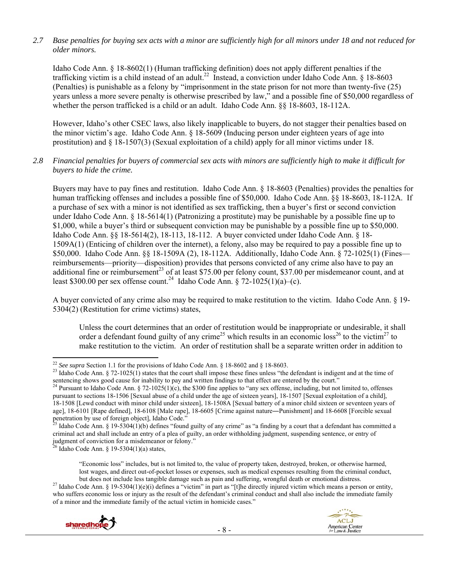## *2.7 Base penalties for buying sex acts with a minor are sufficiently high for all minors under 18 and not reduced for older minors.*

Idaho Code Ann. § 18-8602(1) (Human trafficking definition) does not apply different penalties if the trafficking victim is a child instead of an adult.<sup>22</sup> Instead, a conviction under Idaho Code Ann. § 18-8603 (Penalties) is punishable as a felony by "imprisonment in the state prison for not more than twenty-five (25) years unless a more severe penalty is otherwise prescribed by law," and a possible fine of \$50,000 regardless of whether the person trafficked is a child or an adult. Idaho Code Ann. §§ 18-8603, 18-112A.

However, Idaho's other CSEC laws, also likely inapplicable to buyers, do not stagger their penalties based on the minor victim's age. Idaho Code Ann. § 18-5609 (Inducing person under eighteen years of age into prostitution) and § 18-1507(3) (Sexual exploitation of a child) apply for all minor victims under 18.

#### *2.8 Financial penalties for buyers of commercial sex acts with minors are sufficiently high to make it difficult for buyers to hide the crime.*

Buyers may have to pay fines and restitution. Idaho Code Ann. § 18-8603 (Penalties) provides the penalties for human trafficking offenses and includes a possible fine of \$50,000. Idaho Code Ann. §§ 18-8603, 18-112A. If a purchase of sex with a minor is not identified as sex trafficking, then a buyer's first or second conviction under Idaho Code Ann. § 18-5614(1) (Patronizing a prostitute) may be punishable by a possible fine up to \$1,000, while a buyer's third or subsequent conviction may be punishable by a possible fine up to \$50,000. Idaho Code Ann. §§ 18-5614(2), 18-113, 18-112. A buyer convicted under Idaho Code Ann. § 18- 1509A(1) (Enticing of children over the internet), a felony, also may be required to pay a possible fine up to \$50,000. Idaho Code Ann. §§ 18-1509A (2), 18-112A. Additionally, Idaho Code Ann. § 72-1025(1) (Fines reimbursements—priority—disposition) provides that persons convicted of any crime also have to pay an additional fine or reimbursement<sup>23</sup> of at least \$75.00 per felony count, \$37.00 per misdemeanor count, and at least \$300.00 per sex offense count.<sup>24</sup> Idaho Code Ann. § 72-1025(1)(a)–(c).

A buyer convicted of any crime also may be required to make restitution to the victim. Idaho Code Ann. § 19- 5304(2) (Restitution for crime victims) states,

Unless the court determines that an order of restitution would be inappropriate or undesirable, it shall order a defendant found guilty of any crime<sup>25</sup> which results in an economic loss<sup>26</sup> to the victim<sup>27</sup> to make restitution to the victim. An order of restitution shall be a separate written order in addition to

but does not include less tangible damage such as pain and suffering, wrongful death or emotional distress.<br><sup>27</sup> Idaho Code Ann. § 19-5304(1)(e)(i) defines a "victim" in part as "[t]he directly injured victim which means a who suffers economic loss or injury as the result of the defendant's criminal conduct and shall also include the immediate family of a minor and the immediate family of the actual victim in homicide cases."



<sup>&</sup>lt;sup>22</sup> See supra Section 1.1 for the provisions of Idaho Code Ann. § 18-8602 and § 18-8603.

<sup>&</sup>lt;sup>23</sup> Idaho Code Ann. § 72-1025(1) states that the court shall impose these fines unless "the defendant is indigent and at the time of sentencing shows good cause for inability to pay and written findings to that effect are entered by the court."<br><sup>24</sup> Pursuant to Idaho Code Ann. § 72-1025(1)(c), the \$300 fine applies to "any sex offense, including, but n

pursuant to sections 18-1506 [Sexual abuse of a child under the age of sixteen years], 18-1507 [Sexual exploitation of a child], 18-1508 [Lewd conduct with minor child under sixteen], 18-1508A [Sexual battery of a minor child sixteen or seventeen years of age], 18-6101 [Rape defined], 18-6108 [Male rape], 18-6605 [Crime against nature―Punishment] and 18-6608 [Forcible sexual penetration by use of foreign object], Idaho Code."

<sup>25</sup> Idaho Code Ann. § 19-5304(1)(b) defines "found guilty of any crime" as "a finding by a court that a defendant has committed a criminal act and shall include an entry of a plea of guilty, an order withholding judgment, suspending sentence, or entry of judgment of conviction for a misdemeanor or felony." 26 Idaho Code Ann. § 19-5304(1)(a) states,

<sup>&</sup>quot;Economic loss" includes, but is not limited to, the value of property taken, destroyed, broken, or otherwise harmed, lost wages, and direct out-of-pocket losses or expenses, such as medical expenses resulting from the criminal conduct,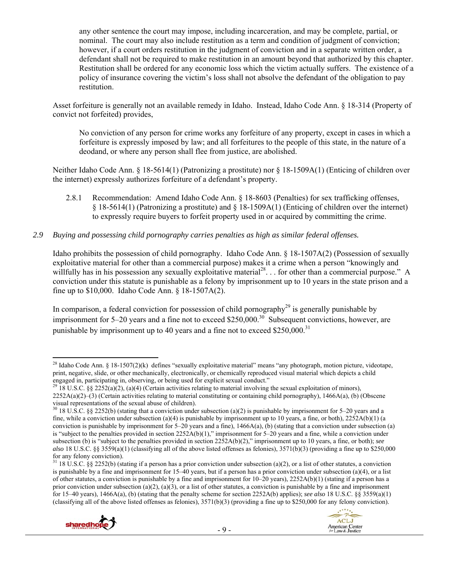any other sentence the court may impose, including incarceration, and may be complete, partial, or nominal. The court may also include restitution as a term and condition of judgment of conviction; however, if a court orders restitution in the judgment of conviction and in a separate written order, a defendant shall not be required to make restitution in an amount beyond that authorized by this chapter. Restitution shall be ordered for any economic loss which the victim actually suffers. The existence of a policy of insurance covering the victim's loss shall not absolve the defendant of the obligation to pay restitution.

Asset forfeiture is generally not an available remedy in Idaho. Instead, Idaho Code Ann. § 18-314 (Property of convict not forfeited) provides,

No conviction of any person for crime works any forfeiture of any property, except in cases in which a forfeiture is expressly imposed by law; and all forfeitures to the people of this state, in the nature of a deodand, or where any person shall flee from justice, are abolished.

Neither Idaho Code Ann. § 18-5614(1) (Patronizing a prostitute) nor § 18-1509A(1) (Enticing of children over the internet) expressly authorizes forfeiture of a defendant's property.

2.8.1 Recommendation: Amend Idaho Code Ann. § 18-8603 (Penalties) for sex trafficking offenses, § 18-5614(1) (Patronizing a prostitute) and § 18-1509A(1) (Enticing of children over the internet) to expressly require buyers to forfeit property used in or acquired by committing the crime.

## *2.9 Buying and possessing child pornography carries penalties as high as similar federal offenses.*

Idaho prohibits the possession of child pornography. Idaho Code Ann. § 18-1507A(2) (Possession of sexually exploitative material for other than a commercial purpose) makes it a crime when a person "knowingly and willfully has in his possession any sexually exploitative material<sup>28</sup>... for other than a commercial purpose." A conviction under this statute is punishable as a felony by imprisonment up to 10 years in the state prison and a fine up to \$10,000. Idaho Code Ann. § 18-1507A(2).

In comparison, a federal conviction for possession of child pornography<sup>29</sup> is generally punishable by imprisonment for 5–20 years and a fine not to exceed  $$250,000.<sup>30</sup>$  Subsequent convictions, however, are punishable by imprisonment up to 40 years and a fine not to exceed  $$250,000.<sup>31</sup>$ 

 $31\,18\,$  U.S.C. §§ 2252(b) (stating if a person has a prior conviction under subsection (a)(2), or a list of other statutes, a conviction is punishable by a fine and imprisonment for  $15-\overline{40}$  years, but if a person has a prior conviction under subsection (a)(4), or a list of other statutes, a conviction is punishable by a fine and imprisonment for 10–20 years), 2252A(b)(1) (stating if a person has a prior conviction under subsection (a)(2), (a)(3), or a list of other statutes, a conviction is punishable by a fine and imprisonment for 15–40 years), 1466A(a), (b) (stating that the penalty scheme for section 2252A(b) applies); *see also* 18 U.S.C. §§ 3559(a)(1) (classifying all of the above listed offenses as felonies), 3571(b)(3) (providing a fine up to \$250,000 for any felony conviction).





 <sup>28</sup> Idaho Code Ann. § 18-1507(2)(k) defines "sexually exploitative material" means "any photograph, motion picture, videotape, print, negative, slide, or other mechanically, electronically, or chemically reproduced visual material which depicts a child engaged in, participating in, observing, or being used for explicit sexual conduct."<br><sup>29</sup> 18 U.S.C. §§ 2252(a)(2), (a)(4) (Certain activities relating to material involving the sexual exploitation of minors),

 $2252A(a)(2)$ –(3) (Certain activities relating to material constituting or containing child pornography), 1466A(a), (b) (Obscene visual representations of the sexual abuse of children).

 $30\,$  18 U.S.C. §§ 2252(b) (stating that a conviction under subsection (a)(2) is punishable by imprisonment for 5–20 years and a fine, while a conviction under subsection (a)(4) is punishable by imprisonment up to 10 years, a fine, or both),  $2252A(b)(1)$  (a conviction is punishable by imprisonment for 5–20 years and a fine), 1466A(a), (b) (stating that a conviction under subsection (a) is "subject to the penalties provided in section 2252A(b)(1)," imprisonment for 5–20 years and a fine, while a conviction under subsection (b) is "subject to the penalties provided in section 2252A(b)(2)," imprisonment up to 10 years, a fine, or both); *see also* 18 U.S.C. §§ 3559(a)(1) (classifying all of the above listed offenses as felonies), 3571(b)(3) (providing a fine up to \$250,000 for any felony conviction).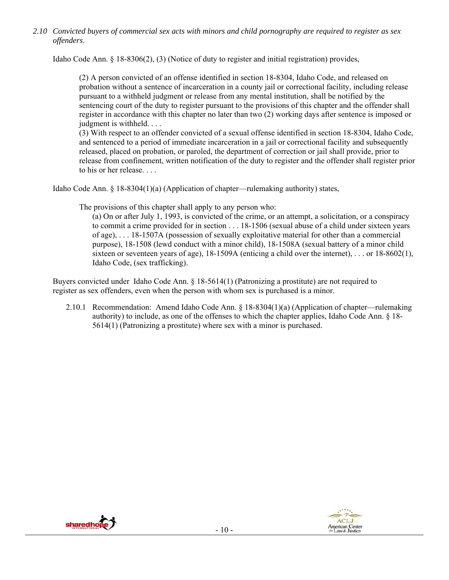*2.10 Convicted buyers of commercial sex acts with minors and child pornography are required to register as sex offenders*.

Idaho Code Ann. § 18-8306(2), (3) (Notice of duty to register and initial registration) provides,

(2) A person convicted of an offense identified in section 18-8304, Idaho Code, and released on probation without a sentence of incarceration in a county jail or correctional facility, including release pursuant to a withheld judgment or release from any mental institution, shall be notified by the sentencing court of the duty to register pursuant to the provisions of this chapter and the offender shall register in accordance with this chapter no later than two (2) working days after sentence is imposed or judgment is withheld. . . .

(3) With respect to an offender convicted of a sexual offense identified in section 18-8304, Idaho Code, and sentenced to a period of immediate incarceration in a jail or correctional facility and subsequently released, placed on probation, or paroled, the department of correction or jail shall provide, prior to release from confinement, written notification of the duty to register and the offender shall register prior to his or her release. . . .

Idaho Code Ann. § 18-8304(1)(a) (Application of chapter—rulemaking authority) states,

The provisions of this chapter shall apply to any person who:

(a) On or after July 1, 1993, is convicted of the crime, or an attempt, a solicitation, or a conspiracy to commit a crime provided for in section . . . 18-1506 (sexual abuse of a child under sixteen years of age), . . . 18-1507A (possession of sexually exploitative material for other than a commercial purpose), 18-1508 (lewd conduct with a minor child), 18-1508A (sexual battery of a minor child sixteen or seventeen years of age), 18-1509A (enticing a child over the internet), . . . or 18-8602(1), Idaho Code, (sex trafficking).

Buyers convicted under Idaho Code Ann. § 18-5614(1) (Patronizing a prostitute) are not required to register as sex offenders, even when the person with whom sex is purchased is a minor.

2.10.1 Recommendation: Amend Idaho Code Ann. § 18-8304(1)(a) (Application of chapter—rulemaking authority) to include, as one of the offenses to which the chapter applies, Idaho Code Ann. § 18- 5614(1) (Patronizing a prostitute) where sex with a minor is purchased.



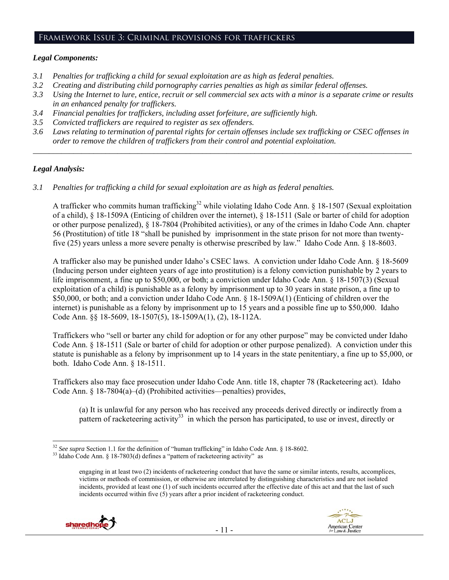#### Framework Issue 3: Criminal provisions for traffickers

## *Legal Components:*

- *3.1 Penalties for trafficking a child for sexual exploitation are as high as federal penalties.*
- *3.2 Creating and distributing child pornography carries penalties as high as similar federal offenses.*
- *3.3 Using the Internet to lure, entice, recruit or sell commercial sex acts with a minor is a separate crime or results in an enhanced penalty for traffickers.*
- *3.4 Financial penalties for traffickers, including asset forfeiture, are sufficiently high.*
- *3.5 Convicted traffickers are required to register as sex offenders.*
- *3.6 Laws relating to termination of parental rights for certain offenses include sex trafficking or CSEC offenses in order to remove the children of traffickers from their control and potential exploitation. \_\_\_\_\_\_\_\_\_\_\_\_\_\_\_\_\_\_\_\_\_\_\_\_\_\_\_\_\_\_\_\_\_\_\_\_\_\_\_\_\_\_\_\_\_\_\_\_\_\_\_\_\_\_\_\_\_\_\_\_\_\_\_\_\_\_\_\_\_\_\_\_\_\_\_\_\_\_\_\_\_\_\_\_\_\_\_\_\_\_\_\_\_\_*

## *Legal Analysis:*

*3.1 Penalties for trafficking a child for sexual exploitation are as high as federal penalties.* 

A trafficker who commits human trafficking<sup>32</sup> while violating Idaho Code Ann. § 18-1507 (Sexual exploitation of a child), § 18-1509A (Enticing of children over the internet), § 18-1511 (Sale or barter of child for adoption or other purpose penalized), § 18-7804 (Prohibited activities), or any of the crimes in Idaho Code Ann. chapter 56 (Prostitution) of title 18 "shall be punished by imprisonment in the state prison for not more than twentyfive (25) years unless a more severe penalty is otherwise prescribed by law." Idaho Code Ann. § 18-8603.

A trafficker also may be punished under Idaho's CSEC laws. A conviction under Idaho Code Ann. § 18-5609 (Inducing person under eighteen years of age into prostitution) is a felony conviction punishable by 2 years to life imprisonment, a fine up to \$50,000, or both; a conviction under Idaho Code Ann. § 18-1507(3) (Sexual exploitation of a child) is punishable as a felony by imprisonment up to 30 years in state prison, a fine up to \$50,000, or both; and a conviction under Idaho Code Ann. § 18-1509A(1) (Enticing of children over the internet) is punishable as a felony by imprisonment up to 15 years and a possible fine up to \$50,000. Idaho Code Ann. §§ 18-5609, 18-1507(5), 18-1509A(1), (2), 18-112A.

Traffickers who "sell or barter any child for adoption or for any other purpose" may be convicted under Idaho Code Ann. § 18-1511 (Sale or barter of child for adoption or other purpose penalized). A conviction under this statute is punishable as a felony by imprisonment up to 14 years in the state penitentiary, a fine up to \$5,000, or both. Idaho Code Ann. § 18-1511.

Traffickers also may face prosecution under Idaho Code Ann. title 18, chapter 78 (Racketeering act). Idaho Code Ann. § 18-7804(a)–(d) (Prohibited activities—penalties) provides,

(a) It is unlawful for any person who has received any proceeds derived directly or indirectly from a pattern of racketeering activity<sup>33</sup> in which the person has participated, to use or invest, directly or

engaging in at least two (2) incidents of racketeering conduct that have the same or similar intents, results, accomplices, victims or methods of commission, or otherwise are interrelated by distinguishing characteristics and are not isolated incidents, provided at least one (1) of such incidents occurred after the effective date of this act and that the last of such incidents occurred within five (5) years after a prior incident of racketeering conduct.



<sup>&</sup>lt;sup>32</sup> See supra Section 1.1 for the definition of "human trafficking" in Idaho Code Ann. § 18-8602.

<sup>&</sup>lt;sup>33</sup> Idaho Code Ann. § 18-7803(d) defines a "pattern of racketeering activity" as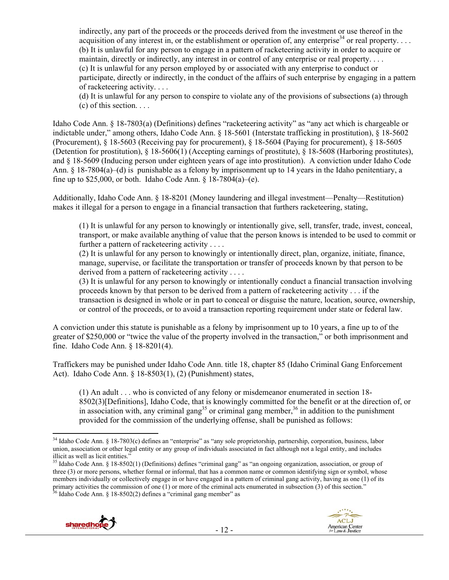indirectly, any part of the proceeds or the proceeds derived from the investment or use thereof in the acquisition of any interest in, or the establishment or operation of, any enterprise<sup>34</sup> or real property.... (b) It is unlawful for any person to engage in a pattern of racketeering activity in order to acquire or maintain, directly or indirectly, any interest in or control of any enterprise or real property. . . . (c) It is unlawful for any person employed by or associated with any enterprise to conduct or participate, directly or indirectly, in the conduct of the affairs of such enterprise by engaging in a pattern of racketeering activity. . . .

(d) It is unlawful for any person to conspire to violate any of the provisions of subsections (a) through  $(c)$  of this section.  $\ldots$ 

Idaho Code Ann. § 18-7803(a) (Definitions) defines "racketeering activity" as "any act which is chargeable or indictable under," among others, Idaho Code Ann. § 18-5601 (Interstate trafficking in prostitution), § 18-5602 (Procurement), § 18-5603 (Receiving pay for procurement), § 18-5604 (Paying for procurement), § 18-5605 (Detention for prostitution), § 18-5606(1) (Accepting earnings of prostitute), § 18-5608 (Harboring prostitutes), and § 18-5609 (Inducing person under eighteen years of age into prostitution). A conviction under Idaho Code Ann. § 18-7804(a)–(d) is punishable as a felony by imprisonment up to 14 years in the Idaho penitentiary, a fine up to \$25,000, or both. Idaho Code Ann.  $\frac{1}{8}$  18-7804(a)–(e).

Additionally, Idaho Code Ann. § 18-8201 (Money laundering and illegal investment—Penalty—Restitution) makes it illegal for a person to engage in a financial transaction that furthers racketeering, stating,

(1) It is unlawful for any person to knowingly or intentionally give, sell, transfer, trade, invest, conceal, transport, or make available anything of value that the person knows is intended to be used to commit or further a pattern of racketeering activity . . . .

(2) It is unlawful for any person to knowingly or intentionally direct, plan, organize, initiate, finance, manage, supervise, or facilitate the transportation or transfer of proceeds known by that person to be derived from a pattern of racketeering activity . . . .

(3) It is unlawful for any person to knowingly or intentionally conduct a financial transaction involving proceeds known by that person to be derived from a pattern of racketeering activity . . . if the transaction is designed in whole or in part to conceal or disguise the nature, location, source, ownership, or control of the proceeds, or to avoid a transaction reporting requirement under state or federal law.

A conviction under this statute is punishable as a felony by imprisonment up to 10 years, a fine up to of the greater of \$250,000 or "twice the value of the property involved in the transaction," or both imprisonment and fine. Idaho Code Ann. § 18-8201(4).

Traffickers may be punished under Idaho Code Ann. title 18, chapter 85 (Idaho Criminal Gang Enforcement Act). Idaho Code Ann. § 18-8503(1), (2) (Punishment) states,

(1) An adult . . . who is convicted of any felony or misdemeanor enumerated in section 18- 8502(3)[Definitions], Idaho Code, that is knowingly committed for the benefit or at the direction of, or in association with, any criminal gang<sup>35</sup> or criminal gang member,<sup>36</sup> in addition to the punishment provided for the commission of the underlying offense, shall be punished as follows:

<sup>&</sup>lt;sup>35</sup> Idaho Code Ann. § 18-8502(1) (Definitions) defines "criminal gang" as "an ongoing organization, association, or group of three (3) or more persons, whether formal or informal, that has a common name or common identifying sign or symbol, whose members individually or collectively engage in or have engaged in a pattern of criminal gang activity, having as one (1) of its primary activities the commission of one (1) or more of the criminal acts enumerated in subsection (3) of this section."  $36$  Idaho Code Ann. § 18-8502(2) defines a "criminal gang member" as





  $34$  Idaho Code Ann. § 18-7803(c) defines an "enterprise" as "any sole proprietorship, partnership, corporation, business, labor union, association or other legal entity or any group of individuals associated in fact although not a legal entity, and includes illicit as well as licit entities."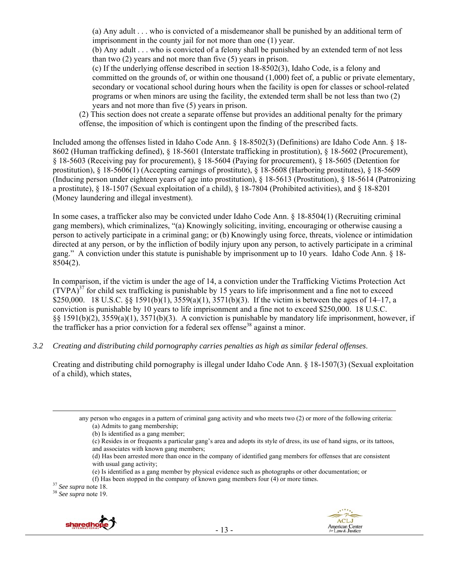(a) Any adult . . . who is convicted of a misdemeanor shall be punished by an additional term of imprisonment in the county jail for not more than one (1) year.

(b) Any adult . . . who is convicted of a felony shall be punished by an extended term of not less than two (2) years and not more than five (5) years in prison.

(c) If the underlying offense described in section 18-8502(3), Idaho Code, is a felony and committed on the grounds of, or within one thousand (1,000) feet of, a public or private elementary, secondary or vocational school during hours when the facility is open for classes or school-related programs or when minors are using the facility, the extended term shall be not less than two (2) years and not more than five (5) years in prison.

(2) This section does not create a separate offense but provides an additional penalty for the primary offense, the imposition of which is contingent upon the finding of the prescribed facts.

Included among the offenses listed in Idaho Code Ann. § 18-8502(3) (Definitions) are Idaho Code Ann. § 18- 8602 (Human trafficking defined), § 18-5601 (Interstate trafficking in prostitution), § 18-5602 (Procurement), § 18-5603 (Receiving pay for procurement), § 18-5604 (Paying for procurement), § 18-5605 (Detention for prostitution), § 18-5606(1) (Accepting earnings of prostitute), § 18-5608 (Harboring prostitutes), § 18-5609 (Inducing person under eighteen years of age into prostitution), § 18-5613 (Prostitution), § 18-5614 (Patronizing a prostitute), § 18-1507 (Sexual exploitation of a child), § 18-7804 (Prohibited activities), and § 18-8201 (Money laundering and illegal investment).

In some cases, a trafficker also may be convicted under Idaho Code Ann. § 18-8504(1) (Recruiting criminal gang members), which criminalizes, "(a) Knowingly soliciting, inviting, encouraging or otherwise causing a person to actively participate in a criminal gang; or (b) Knowingly using force, threats, violence or intimidation directed at any person, or by the infliction of bodily injury upon any person, to actively participate in a criminal gang." A conviction under this statute is punishable by imprisonment up to 10 years. Idaho Code Ann. § 18- 8504(2).

In comparison, if the victim is under the age of 14, a conviction under the Trafficking Victims Protection Act  $(TVPA)<sup>37</sup>$  for child sex trafficking is punishable by 15 years to life imprisonment and a fine not to exceed \$250,000. 18 U.S.C. §§ 1591(b)(1), 3559(a)(1), 3571(b)(3). If the victim is between the ages of 14–17, a conviction is punishable by 10 years to life imprisonment and a fine not to exceed \$250,000. 18 U.S.C. §§ 1591(b)(2), 3559(a)(1), 3571(b)(3). A conviction is punishable by mandatory life imprisonment, however, if the trafficker has a prior conviction for a federal sex offense<sup>38</sup> against a minor.

*3.2 Creating and distributing child pornography carries penalties as high as similar federal offenses*.

Creating and distributing child pornography is illegal under Idaho Code Ann. § 18-1507(3) (Sexual exploitation of a child), which states,

<u> 1989 - Johann Stein, marwolaethau a gweledydd a ganrad y ganrad y ganrad y ganrad y ganrad y ganrad y ganrad</u>

(e) Is identified as a gang member by physical evidence such as photographs or other documentation; or





any person who engages in a pattern of criminal gang activity and who meets two (2) or more of the following criteria: (a) Admits to gang membership;

<sup>(</sup>b) Is identified as a gang member;

<sup>(</sup>c) Resides in or frequents a particular gang's area and adopts its style of dress, its use of hand signs, or its tattoos, and associates with known gang members;

<sup>(</sup>d) Has been arrested more than once in the company of identified gang members for offenses that are consistent with usual gang activity;

<sup>(</sup>f) Has been stopped in the company of known gang members four (4) or more times. 37 *See supra* note 18. 38 *See supra* note 19.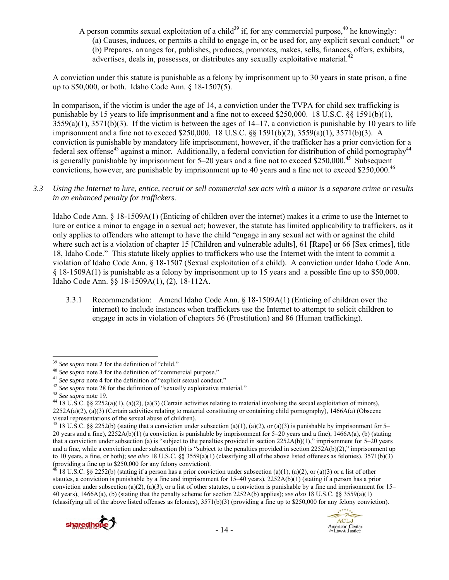A person commits sexual exploitation of a child<sup>39</sup> if, for any commercial purpose,<sup>40</sup> he knowingly: (a) Causes, induces, or permits a child to engage in, or be used for, any explicit sexual conduct;  $41$  or (b) Prepares, arranges for, publishes, produces, promotes, makes, sells, finances, offers, exhibits, advertises, deals in, possesses, or distributes any sexually exploitative material.<sup>4</sup>

A conviction under this statute is punishable as a felony by imprisonment up to 30 years in state prison, a fine up to \$50,000, or both. Idaho Code Ann. § 18-1507(5).

In comparison, if the victim is under the age of 14, a conviction under the TVPA for child sex trafficking is punishable by 15 years to life imprisonment and a fine not to exceed \$250,000. 18 U.S.C. §§ 1591(b)(1),  $3559(a)(1)$ ,  $3571(b)(3)$ . If the victim is between the ages of  $14-17$ , a conviction is punishable by 10 years to life imprisonment and a fine not to exceed \$250,000. 18 U.S.C. §§ 1591(b)(2), 3559(a)(1), 3571(b)(3). A conviction is punishable by mandatory life imprisonment, however, if the trafficker has a prior conviction for a federal sex offense<sup>43</sup> against a minor. Additionally, a federal conviction for distribution of child pornography<sup>44</sup> is generally punishable by imprisonment for 5–20 years and a fine not to exceed \$250,000.<sup>45</sup> Subsequent convictions, however, are punishable by imprisonment up to 40 years and a fine not to exceed \$250,000.46

*3.3 Using the Internet to lure, entice, recruit or sell commercial sex acts with a minor is a separate crime or results in an enhanced penalty for traffickers.* 

Idaho Code Ann. § 18-1509A(1) (Enticing of children over the internet) makes it a crime to use the Internet to lure or entice a minor to engage in a sexual act; however, the statute has limited applicability to traffickers, as it only applies to offenders who attempt to have the child "engage in any sexual act with or against the child where such act is a violation of chapter 15 [Children and vulnerable adults], 61 [Rape] or 66 [Sex crimes], title 18, Idaho Code." This statute likely applies to traffickers who use the Internet with the intent to commit a violation of Idaho Code Ann. § 18-1507 (Sexual exploitation of a child). A conviction under Idaho Code Ann. § 18-1509A(1) is punishable as a felony by imprisonment up to 15 years and a possible fine up to \$50,000. Idaho Code Ann. §§ 18-1509A(1), (2), 18-112A.

3.3.1 Recommendation: Amend Idaho Code Ann. § 18-1509A(1) (Enticing of children over the internet) to include instances when traffickers use the Internet to attempt to solicit children to engage in acts in violation of chapters 56 (Prostitution) and 86 (Human trafficking).

<sup>18</sup> U.S.C. §§ 2252(b) (stating if a person has a prior conviction under subsection (a)(1), (a)(2), or (a)(3) or a list of other statutes, a conviction is punishable by a fine and imprisonment for  $15-40$  years),  $2252A(b)(1)$  (stating if a person has a prior conviction under subsection (a)(2), (a)(3), or a list of other statutes, a conviction is punishable by a fine and imprisonment for  $15-$ 40 years), 1466A(a), (b) (stating that the penalty scheme for section 2252A(b) applies); *see also* 18 U.S.C. §§ 3559(a)(1) (classifying all of the above listed offenses as felonies), 3571(b)(3) (providing a fine up to \$250,000 for any felony conviction).





<sup>&</sup>lt;sup>39</sup> See supra note 2 for the definition of "child."

<sup>&</sup>lt;sup>40</sup> See supra note 3 for the definition of "commercial purpose."<br><sup>41</sup> See supra note 4 for the definition of "explicit sexual conduct."<br><sup>42</sup> See supra note 28 for the definition of "explicit sexually exploitative materia  $2252A(a)(2)$ ,  $(a)(3)$  (Certain activities relating to material constituting or containing child pornography), 1466A(a) (Obscene visual representations of the sexual abuse of children).

<sup>&</sup>lt;sup>45</sup> 18 U.S.C. §§ 2252(b) (stating that a conviction under subsection (a)(1), (a)(2), or (a)(3) is punishable by imprisonment for 5– 20 years and a fine), 2252A(b)(1) (a conviction is punishable by imprisonment for 5–20 years and a fine), 1466A(a), (b) (stating that a conviction under subsection (a) is "subject to the penalties provided in section  $2252A(b)(1)$ ," imprisonment for 5–20 years and a fine, while a conviction under subsection (b) is "subject to the penalties provided in section  $2252A(b)(2)$ ," imprisonment up to 10 years, a fine, or both); *see also* 18 U.S.C. §§ 3559(a)(1) (classifying all of the above listed offenses as felonies), 3571(b)(3) (providing a fine up to \$250,000 for any felony conviction).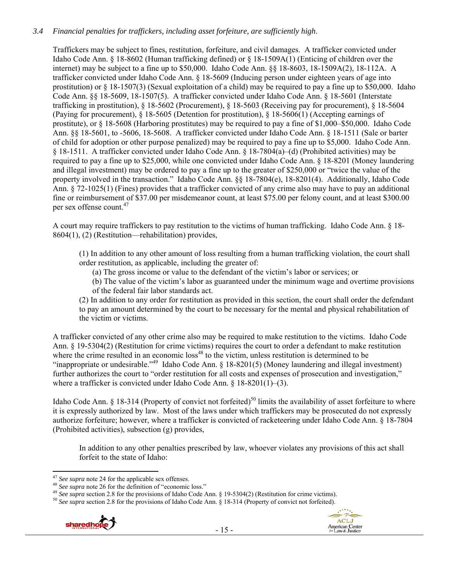## *3.4 Financial penalties for traffickers, including asset forfeiture, are sufficiently high*.

Traffickers may be subject to fines, restitution, forfeiture, and civil damages. A trafficker convicted under Idaho Code Ann. § 18-8602 (Human trafficking defined) or § 18-1509A(1) (Enticing of children over the internet) may be subject to a fine up to \$50,000. Idaho Code Ann. §§ 18-8603, 18-1509A(2), 18-112A. A trafficker convicted under Idaho Code Ann. § 18-5609 (Inducing person under eighteen years of age into prostitution) or § 18-1507(3) (Sexual exploitation of a child) may be required to pay a fine up to \$50,000. Idaho Code Ann. §§ 18-5609, 18-1507(5). A trafficker convicted under Idaho Code Ann. § 18-5601 (Interstate trafficking in prostitution), § 18-5602 (Procurement), § 18-5603 (Receiving pay for procurement), § 18-5604 (Paying for procurement), § 18-5605 (Detention for prostitution), § 18-5606(1) (Accepting earnings of prostitute), or § 18-5608 (Harboring prostitutes) may be required to pay a fine of \$1,000–\$50,000. Idaho Code Ann. §§ 18-5601, to -5606, 18-5608. A trafficker convicted under Idaho Code Ann. § 18-1511 (Sale or barter of child for adoption or other purpose penalized) may be required to pay a fine up to \$5,000. Idaho Code Ann. § 18-1511. A trafficker convicted under Idaho Code Ann. § 18-7804(a)–(d) (Prohibited activities) may be required to pay a fine up to \$25,000, while one convicted under Idaho Code Ann. § 18-8201 (Money laundering and illegal investment) may be ordered to pay a fine up to the greater of \$250,000 or "twice the value of the property involved in the transaction." Idaho Code Ann. §§ 18-7804(e), 18-8201(4). Additionally, Idaho Code Ann. § 72-1025(1) (Fines) provides that a trafficker convicted of any crime also may have to pay an additional fine or reimbursement of \$37.00 per misdemeanor count, at least \$75.00 per felony count, and at least \$300.00 per sex offense count  $47$ 

A court may require traffickers to pay restitution to the victims of human trafficking. Idaho Code Ann. § 18- 8604(1), (2) (Restitution—rehabilitation) provides,

(1) In addition to any other amount of loss resulting from a human trafficking violation, the court shall order restitution, as applicable, including the greater of:

(a) The gross income or value to the defendant of the victim's labor or services; or

(b) The value of the victim's labor as guaranteed under the minimum wage and overtime provisions of the federal fair labor standards act.

(2) In addition to any order for restitution as provided in this section, the court shall order the defendant to pay an amount determined by the court to be necessary for the mental and physical rehabilitation of the victim or victims.

A trafficker convicted of any other crime also may be required to make restitution to the victims. Idaho Code Ann. § 19-5304(2) (Restitution for crime victims) requires the court to order a defendant to make restitution where the crime resulted in an economic loss<sup>48</sup> to the victim, unless restitution is determined to be "inappropriate or undesirable."<sup>49</sup> Idaho Code Ann.  $\S$  18-8201(5) (Money laundering and illegal investment) further authorizes the court to "order restitution for all costs and expenses of prosecution and investigation," where a trafficker is convicted under Idaho Code Ann. § 18-8201(1)–(3).

Idaho Code Ann. § 18-314 (Property of convict not forfeited)<sup>50</sup> limits the availability of asset forfeiture to where it is expressly authorized by law. Most of the laws under which traffickers may be prosecuted do not expressly authorize forfeiture; however, where a trafficker is convicted of racketeering under Idaho Code Ann. § 18-7804 (Prohibited activities), subsection (g) provides,

In addition to any other penalties prescribed by law, whoever violates any provisions of this act shall forfeit to the state of Idaho:



<sup>&</sup>lt;sup>47</sup> See supra note 24 for the applicable sex offenses.<br><sup>48</sup> See supra note 26 for the definition of "economic loss."<br><sup>49</sup> See supra section 2.8 for the provisions of Idaho Code Ann. § 19-5304(2) (Restitution for crime vi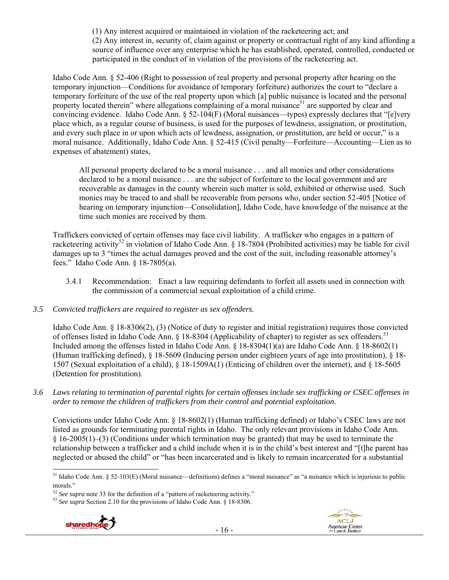(1) Any interest acquired or maintained in violation of the racketeering act; and (2) Any interest in, security of, claim against or property or contractual right of any kind affording a source of influence over any enterprise which he has established, operated, controlled, conducted or participated in the conduct of in violation of the provisions of the racketeering act.

Idaho Code Ann. § 52-406 (Right to possession of real property and personal property after hearing on the temporary injunction—Conditions for avoidance of temporary forfeiture) authorizes the court to "declare a temporary forfeiture of the use of the real property upon which [a] public nuisance is located and the personal property located therein" where allegations complaining of a moral nuisance<sup>51</sup> are supported by clear and convincing evidence. Idaho Code Ann. § 52-104(F) (Moral nuisances—types) expressly declares that "[e]very place which, as a regular course of business, is used for the purposes of lewdness, assignation, or prostitution, and every such place in or upon which acts of lewdness, assignation, or prostitution, are held or occur," is a moral nuisance. Additionally, Idaho Code Ann. § 52-415 (Civil penalty—Forfeiture—Accounting—Lien as to expenses of abatement) states,

All personal property declared to be a moral nuisance . . . and all monies and other considerations declared to be a moral nuisance . . . are the subject of forfeiture to the local government and are recoverable as damages in the county wherein such matter is sold, exhibited or otherwise used. Such monies may be traced to and shall be recoverable from persons who, under section 52-405 [Notice of hearing on temporary injunction—Consolidation], Idaho Code, have knowledge of the nuisance at the time such monies are received by them.

Traffickers convicted of certain offenses may face civil liability. A trafficker who engages in a pattern of racketeering activity<sup>52</sup> in violation of Idaho Code Ann. § 18-7804 (Prohibited activities) may be liable for civil damages up to 3 "times the actual damages proved and the cost of the suit, including reasonable attorney's fees." Idaho Code Ann. § 18-7805(a).

3.4.1 Recommendation: Enact a law requiring defendants to forfeit all assets used in connection with the commission of a commercial sexual exploitation of a child crime.

## *3.5 Convicted traffickers are required to register as sex offenders.*

Idaho Code Ann. § 18-8306(2), (3) (Notice of duty to register and initial registration) requires those convicted of offenses listed in Idaho Code Ann.  $\S$  18-8304 (Applicability of chapter) to register as sex offenders.<sup>53</sup> Included among the offenses listed in Idaho Code Ann. § 18-8304(1)(a) are Idaho Code Ann. § 18-8602(1) (Human trafficking defined), § 18-5609 (Inducing person under eighteen years of age into prostitution), § 18- 1507 (Sexual exploitation of a child), § 18-1509A(1) (Enticing of children over the internet), and § 18-5605 (Detention for prostitution).

*3.6 Laws relating to termination of parental rights for certain offenses include sex trafficking or CSEC offenses in order to remove the children of traffickers from their control and potential exploitation.*

Convictions under Idaho Code Ann. § 18-8602(1) (Human trafficking defined) or Idaho's CSEC laws are not listed as grounds for terminating parental rights in Idaho. The only relevant provisions in Idaho Code Ann. § 16-2005(1)–(3) (Conditions under which termination may be granted) that may be used to terminate the relationship between a trafficker and a child include when it is in the child's best interest and "[t]he parent has neglected or abused the child" or "has been incarcerated and is likely to remain incarcerated for a substantial



  $51$  Idaho Code Ann. § 52-103(E) (Moral nuisance—definitions) defines a "moral nuisance" as "a nuisance which is injurious to public morals."

<sup>52</sup> *See supra* note 33 for the definition of a "pattern of racketeering activity." 53 *See supra* Section 2.10 for the provisions of Idaho Code Ann. § 18-8306.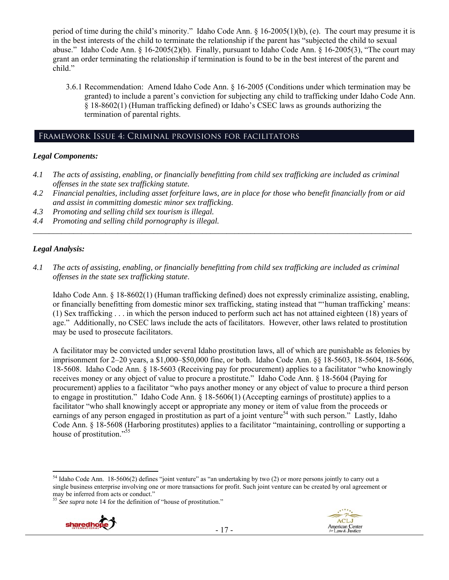period of time during the child's minority." Idaho Code Ann. § 16-2005(1)(b), (e). The court may presume it is in the best interests of the child to terminate the relationship if the parent has "subjected the child to sexual abuse." Idaho Code Ann. § 16-2005(2)(b). Finally, pursuant to Idaho Code Ann. § 16-2005(3), "The court may grant an order terminating the relationship if termination is found to be in the best interest of the parent and child."

3.6.1 Recommendation: Amend Idaho Code Ann. § 16-2005 (Conditions under which termination may be granted) to include a parent's conviction for subjecting any child to trafficking under Idaho Code Ann. § 18-8602(1) (Human trafficking defined) or Idaho's CSEC laws as grounds authorizing the termination of parental rights.

#### Framework Issue 4: Criminal provisions for facilitators

#### *Legal Components:*

- *4.1 The acts of assisting, enabling, or financially benefitting from child sex trafficking are included as criminal offenses in the state sex trafficking statute.*
- *4.2 Financial penalties, including asset forfeiture laws, are in place for those who benefit financially from or aid and assist in committing domestic minor sex trafficking.*

*\_\_\_\_\_\_\_\_\_\_\_\_\_\_\_\_\_\_\_\_\_\_\_\_\_\_\_\_\_\_\_\_\_\_\_\_\_\_\_\_\_\_\_\_\_\_\_\_\_\_\_\_\_\_\_\_\_\_\_\_\_\_\_\_\_\_\_\_\_\_\_\_\_\_\_\_\_\_\_\_\_\_\_\_\_\_\_\_\_\_\_\_\_\_* 

- *4.3 Promoting and selling child sex tourism is illegal.*
- *4.4 Promoting and selling child pornography is illegal.*

#### *Legal Analysis:*

*4.1 The acts of assisting, enabling, or financially benefitting from child sex trafficking are included as criminal offenses in the state sex trafficking statute*.

Idaho Code Ann. § 18-8602(1) (Human trafficking defined) does not expressly criminalize assisting, enabling, or financially benefitting from domestic minor sex trafficking, stating instead that "'human trafficking' means: (1) Sex trafficking . . . in which the person induced to perform such act has not attained eighteen (18) years of age." Additionally, no CSEC laws include the acts of facilitators. However, other laws related to prostitution may be used to prosecute facilitators.

A facilitator may be convicted under several Idaho prostitution laws, all of which are punishable as felonies by imprisonment for 2–20 years, a \$1,000–\$50,000 fine, or both. Idaho Code Ann. §§ 18-5603, 18-5604, 18-5606, 18-5608. Idaho Code Ann. § 18-5603 (Receiving pay for procurement) applies to a facilitator "who knowingly receives money or any object of value to procure a prostitute." Idaho Code Ann. § 18-5604 (Paying for procurement) applies to a facilitator "who pays another money or any object of value to procure a third person to engage in prostitution." Idaho Code Ann. § 18-5606(1) (Accepting earnings of prostitute) applies to a facilitator "who shall knowingly accept or appropriate any money or item of value from the proceeds or earnings of any person engaged in prostitution as part of a joint venture<sup>54</sup> with such person." Lastly, Idaho Code Ann. § 18-5608 (Harboring prostitutes) applies to a facilitator "maintaining, controlling or supporting a house of prostitution."<sup>55</sup>

<sup>&</sup>lt;sup>55</sup> See supra note 14 for the definition of "house of prostitution."



 54 Idaho Code Ann. 18-5606(2) defines "joint venture" as "an undertaking by two (2) or more persons jointly to carry out a single business enterprise involving one or more transactions for profit. Such joint venture can be created by oral agreement or may be inferred from acts or conduct."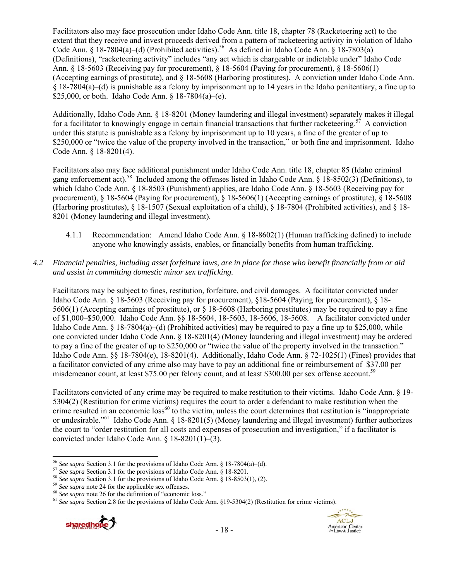Facilitators also may face prosecution under Idaho Code Ann. title 18, chapter 78 (Racketeering act) to the extent that they receive and invest proceeds derived from a pattern of racketeering activity in violation of Idaho Code Ann. § 18-7804(a)–(d) (Prohibited activities).<sup>56</sup> As defined in Idaho Code Ann. § 18-7803(a) (Definitions), "racketeering activity" includes "any act which is chargeable or indictable under" Idaho Code Ann. § 18-5603 (Receiving pay for procurement), § 18-5604 (Paying for procurement), § 18-5606(1) (Accepting earnings of prostitute), and § 18-5608 (Harboring prostitutes). A conviction under Idaho Code Ann. § 18-7804(a)–(d) is punishable as a felony by imprisonment up to 14 years in the Idaho penitentiary, a fine up to \$25,000, or both. Idaho Code Ann. § 18-7804(a)–(e).

Additionally, Idaho Code Ann. § 18-8201 (Money laundering and illegal investment) separately makes it illegal for a facilitator to knowingly engage in certain financial transactions that further racketeering.<sup>57</sup> A conviction under this statute is punishable as a felony by imprisonment up to 10 years, a fine of the greater of up to \$250,000 or "twice the value of the property involved in the transaction," or both fine and imprisonment. Idaho Code Ann. § 18-8201(4).

Facilitators also may face additional punishment under Idaho Code Ann. title 18, chapter 85 (Idaho criminal gang enforcement act).<sup>58</sup> Included among the offenses listed in Idaho Code Ann.  $\S$  18-8502(3) (Definitions), to which Idaho Code Ann. § 18-8503 (Punishment) applies, are Idaho Code Ann. § 18-5603 (Receiving pay for procurement), § 18-5604 (Paying for procurement), § 18-5606(1) (Accepting earnings of prostitute), § 18-5608 (Harboring prostitutes), § 18-1507 (Sexual exploitation of a child), § 18-7804 (Prohibited activities), and § 18- 8201 (Money laundering and illegal investment).

- 4.1.1 Recommendation: Amend Idaho Code Ann. § 18-8602(1) (Human trafficking defined) to include anyone who knowingly assists, enables, or financially benefits from human trafficking.
- *4.2 Financial penalties, including asset forfeiture laws, are in place for those who benefit financially from or aid and assist in committing domestic minor sex trafficking.*

Facilitators may be subject to fines, restitution, forfeiture, and civil damages. A facilitator convicted under Idaho Code Ann. § 18-5603 (Receiving pay for procurement), §18-5604 (Paying for procurement), § 18- 5606(1) (Accepting earnings of prostitute), or § 18-5608 (Harboring prostitutes) may be required to pay a fine of \$1,000–\$50,000. Idaho Code Ann. §§ 18-5604, 18-5603, 18-5606, 18-5608. A facilitator convicted under Idaho Code Ann. § 18-7804(a)–(d) (Prohibited activities) may be required to pay a fine up to \$25,000, while one convicted under Idaho Code Ann. § 18-8201(4) (Money laundering and illegal investment) may be ordered to pay a fine of the greater of up to \$250,000 or "twice the value of the property involved in the transaction." Idaho Code Ann. §§ 18-7804(e), 18-8201(4). Additionally, Idaho Code Ann. § 72-1025(1) (Fines) provides that a facilitator convicted of any crime also may have to pay an additional fine or reimbursement of \$37.00 per misdemeanor count, at least \$75.00 per felony count, and at least \$300.00 per sex offense account.<sup>59</sup>

Facilitators convicted of any crime may be required to make restitution to their victims. Idaho Code Ann. § 19- 5304(2) (Restitution for crime victims) requires the court to order a defendant to make restitution when the crime resulted in an economic  $loss^{60}$  to the victim, unless the court determines that restitution is "inappropriate" or undesirable."61 Idaho Code Ann. § 18-8201(5) (Money laundering and illegal investment) further authorizes the court to "order restitution for all costs and expenses of prosecution and investigation," if a facilitator is convicted under Idaho Code Ann. § 18-8201(1)–(3).

<sup>56</sup> See supra Section 3.1 for the provisions of Idaho Code Ann. § 18-7804(a)–(d).

<sup>&</sup>lt;sup>57</sup> See supra Section 3.1 for the provisions of Idaho Code Ann. § 18-8201.<br><sup>58</sup> See supra Section 3.1 for the provisions of Idaho Code Ann. § 18-8503(1), (2).<br><sup>59</sup> See supra note 24 for the applicable sex offenses.<br><sup>60</sup>



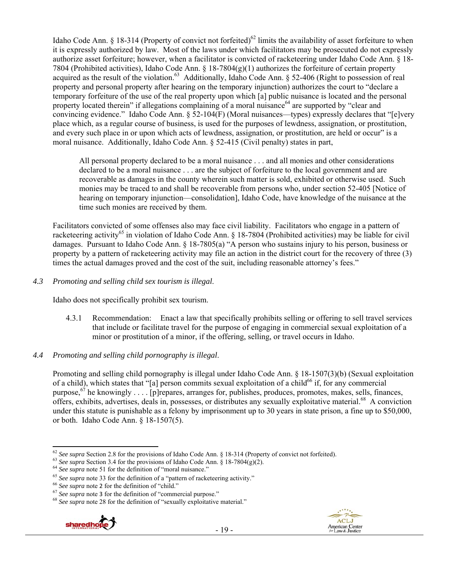Idaho Code Ann. § 18-314 (Property of convict not forfeited)<sup>62</sup> limits the availability of asset forfeiture to when it is expressly authorized by law. Most of the laws under which facilitators may be prosecuted do not expressly authorize asset forfeiture; however, when a facilitator is convicted of racketeering under Idaho Code Ann. § 18- 7804 (Prohibited activities), Idaho Code Ann. § 18-7804(g)(1) authorizes the forfeiture of certain property acquired as the result of the violation.<sup>63</sup> Additionally, Idaho Code Ann. § 52-406 (Right to possession of real property and personal property after hearing on the temporary injunction) authorizes the court to "declare a temporary forfeiture of the use of the real property upon which [a] public nuisance is located and the personal property located therein" if allegations complaining of a moral nuisance<sup>64</sup> are supported by "clear and convincing evidence." Idaho Code Ann. § 52-104(F) (Moral nuisances—types) expressly declares that "[e]very place which, as a regular course of business, is used for the purposes of lewdness, assignation, or prostitution, and every such place in or upon which acts of lewdness, assignation, or prostitution, are held or occur" is a moral nuisance. Additionally, Idaho Code Ann. § 52-415 (Civil penalty) states in part,

All personal property declared to be a moral nuisance . . . and all monies and other considerations declared to be a moral nuisance . . . are the subject of forfeiture to the local government and are recoverable as damages in the county wherein such matter is sold, exhibited or otherwise used. Such monies may be traced to and shall be recoverable from persons who, under section 52-405 [Notice of hearing on temporary injunction—consolidation], Idaho Code, have knowledge of the nuisance at the time such monies are received by them.

Facilitators convicted of some offenses also may face civil liability. Facilitators who engage in a pattern of racketeering activity<sup>65</sup> in violation of Idaho Code Ann. § 18-7804 (Prohibited activities) may be liable for civil damages. Pursuant to Idaho Code Ann. § 18-7805(a) "A person who sustains injury to his person, business or property by a pattern of racketeering activity may file an action in the district court for the recovery of three (3) times the actual damages proved and the cost of the suit, including reasonable attorney's fees."

## *4.3 Promoting and selling child sex tourism is illegal*.

Idaho does not specifically prohibit sex tourism.

4.3.1 Recommendation: Enact a law that specifically prohibits selling or offering to sell travel services that include or facilitate travel for the purpose of engaging in commercial sexual exploitation of a minor or prostitution of a minor, if the offering, selling, or travel occurs in Idaho.

## *4.4 Promoting and selling child pornography is illegal*.

Promoting and selling child pornography is illegal under Idaho Code Ann. § 18-1507(3)(b) (Sexual exploitation of a child), which states that "[a] person commits sexual exploitation of a child<sup>66</sup> if, for any commercial purpose,  $67$  he knowingly . . . . [p]repares, arranges for, publishes, produces, promotes, makes, sells, finances, offers, exhibits, advertises, deals in, possesses, or distributes any sexually exploitative material.<sup>68</sup> A conviction under this statute is punishable as a felony by imprisonment up to 30 years in state prison, a fine up to \$50,000, or both. Idaho Code Ann. § 18-1507(5).





 <sup>62</sup> See supra Section 2.8 for the provisions of Idaho Code Ann. § 18-314 (Property of convict not forfeited).<br><sup>63</sup> See supra Section 3.4 for the provisions of Idaho Code Ann. § 18-7804(g)(2).<br><sup>64</sup> See supra note 51 for t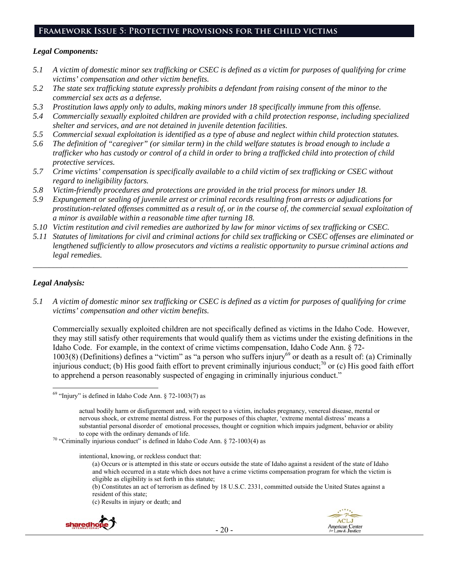## **Framework Issue 5: Protective provisions for the child victims**

#### *Legal Components:*

- *5.1 A victim of domestic minor sex trafficking or CSEC is defined as a victim for purposes of qualifying for crime victims' compensation and other victim benefits.*
- *5.2 The state sex trafficking statute expressly prohibits a defendant from raising consent of the minor to the commercial sex acts as a defense.*
- *5.3 Prostitution laws apply only to adults, making minors under 18 specifically immune from this offense.*
- *5.4 Commercially sexually exploited children are provided with a child protection response, including specialized shelter and services, and are not detained in juvenile detention facilities.*
- *5.5 Commercial sexual exploitation is identified as a type of abuse and neglect within child protection statutes.*
- *5.6 The definition of "caregiver" (or similar term) in the child welfare statutes is broad enough to include a trafficker who has custody or control of a child in order to bring a trafficked child into protection of child protective services.*
- *5.7 Crime victims' compensation is specifically available to a child victim of sex trafficking or CSEC without regard to ineligibility factors.*
- *5.8 Victim-friendly procedures and protections are provided in the trial process for minors under 18.*
- *5.9 Expungement or sealing of juvenile arrest or criminal records resulting from arrests or adjudications for prostitution-related offenses committed as a result of, or in the course of, the commercial sexual exploitation of a minor is available within a reasonable time after turning 18.*
- *5.10 Victim restitution and civil remedies are authorized by law for minor victims of sex trafficking or CSEC.*
- *5.11 Statutes of limitations for civil and criminal actions for child sex trafficking or CSEC offenses are eliminated or lengthened sufficiently to allow prosecutors and victims a realistic opportunity to pursue criminal actions and legal remedies.*

*\_\_\_\_\_\_\_\_\_\_\_\_\_\_\_\_\_\_\_\_\_\_\_\_\_\_\_\_\_\_\_\_\_\_\_\_\_\_\_\_\_\_\_\_\_\_\_\_\_\_\_\_\_\_\_\_\_\_\_\_\_\_\_\_\_\_\_\_\_\_\_\_\_\_\_\_\_\_\_\_\_\_\_\_\_\_\_\_\_\_\_\_\_* 

## *Legal Analysis:*

*5.1 A victim of domestic minor sex trafficking or CSEC is defined as a victim for purposes of qualifying for crime victims' compensation and other victim benefits.* 

Commercially sexually exploited children are not specifically defined as victims in the Idaho Code. However, they may still satisfy other requirements that would qualify them as victims under the existing definitions in the Idaho Code. For example, in the context of crime victims compensation, Idaho Code Ann. § 72- 1003(8) (Definitions) defines a "victim" as "a person who suffers injury<sup>69</sup> or death as a result of: (a) Criminally injurious conduct; (b) His good faith effort to prevent criminally injurious conduct;<sup>70</sup> or (c) His good faith effort to apprehend a person reasonably suspected of engaging in criminally injurious conduct."

intentional, knowing, or reckless conduct that:

(a) Occurs or is attempted in this state or occurs outside the state of Idaho against a resident of the state of Idaho and which occurred in a state which does not have a crime victims compensation program for which the victim is eligible as eligibility is set forth in this statute;

(b) Constitutes an act of terrorism as defined by 18 U.S.C. 2331, committed outside the United States against a resident of this state;

(c) Results in injury or death; and





  $69$  "Injury" is defined in Idaho Code Ann. § 72-1003(7) as

actual bodily harm or disfigurement and, with respect to a victim, includes pregnancy, venereal disease, mental or nervous shock, or extreme mental distress. For the purposes of this chapter, 'extreme mental distress' means a substantial personal disorder of emotional processes, thought or cognition which impairs judgment, behavior or ability

to cope with the ordinary demands of life.<br><sup>70</sup> "Criminally injurious conduct" is defined in Idaho Code Ann. § 72-1003(4) as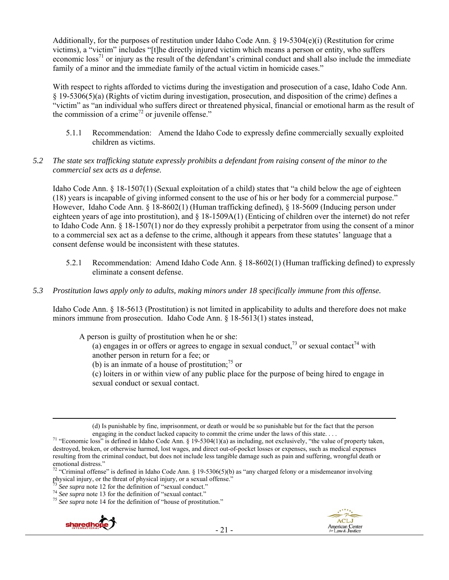Additionally, for the purposes of restitution under Idaho Code Ann. § 19-5304(e)(i) (Restitution for crime victims), a "victim" includes "[t]he directly injured victim which means a person or entity, who suffers economic  $\cos^{71}$  or injury as the result of the defendant's criminal conduct and shall also include the immediate family of a minor and the immediate family of the actual victim in homicide cases."

With respect to rights afforded to victims during the investigation and prosecution of a case, Idaho Code Ann. § 19-5306(5)(a) (Rights of victim during investigation, prosecution, and disposition of the crime) defines a "victim" as "an individual who suffers direct or threatened physical, financial or emotional harm as the result of the commission of a crime<sup>72</sup> or juvenile offense."

- 5.1.1 Recommendation: Amend the Idaho Code to expressly define commercially sexually exploited children as victims.
- *5.2 The state sex trafficking statute expressly prohibits a defendant from raising consent of the minor to the commercial sex acts as a defense.*

Idaho Code Ann. § 18-1507(1) (Sexual exploitation of a child) states that "a child below the age of eighteen (18) years is incapable of giving informed consent to the use of his or her body for a commercial purpose." However, Idaho Code Ann. § 18-8602(1) (Human trafficking defined), § 18-5609 (Inducing person under eighteen years of age into prostitution), and § 18-1509A(1) (Enticing of children over the internet) do not refer to Idaho Code Ann. § 18-1507(1) nor do they expressly prohibit a perpetrator from using the consent of a minor to a commercial sex act as a defense to the crime, although it appears from these statutes' language that a consent defense would be inconsistent with these statutes.

- 5.2.1 Recommendation: Amend Idaho Code Ann. § 18-8602(1) (Human trafficking defined) to expressly eliminate a consent defense.
- *5.3 Prostitution laws apply only to adults, making minors under 18 specifically immune from this offense.*

Idaho Code Ann. § 18-5613 (Prostitution) is not limited in applicability to adults and therefore does not make minors immune from prosecution. Idaho Code Ann. § 18-5613(1) states instead,

A person is guilty of prostitution when he or she:

(a) engages in or offers or agrees to engage in sexual conduct,<sup>73</sup> or sexual contact<sup>74</sup> with another person in return for a fee; or

(b) is an inmate of a house of prostitution; $^{75}$  or

(c) loiters in or within view of any public place for the purpose of being hired to engage in sexual conduct or sexual contact.

<u> 1989 - Johann Stein, marwolaethau a gweledydd a ganrad y ganrad y ganrad y ganrad y ganrad y ganrad y ganrad</u>

<sup>&</sup>lt;sup>74</sup> *See supra* note 13 for the definition of "sexual contact."<br><sup>75</sup> *See supra* note 14 for the definition of "house of prostitution."





<sup>(</sup>d) Is punishable by fine, imprisonment, or death or would be so punishable but for the fact that the person

engaging in the conduct lacked capacity to commit the crime under the laws of this state. . . . .  $\frac{71}{1}$  "Economic loss" is defined in Idaho Code Ann. § 19-5304(1)(a) as including, not exclusively, "the value of prope destroyed, broken, or otherwise harmed, lost wages, and direct out-of-pocket losses or expenses, such as medical expenses resulting from the criminal conduct, but does not include less tangible damage such as pain and suffering, wrongful death or emotional distress."

<sup>&</sup>lt;sup>72</sup> "Criminal offense" is defined in Idaho Code Ann. § 19-5306(5)(b) as "any charged felony or a misdemeanor involving physical injury, or the threat of physical injury, or a sexual offense."<br>  $\frac{73}{2}$  See supra note 12 for the definition of "sexual conduct."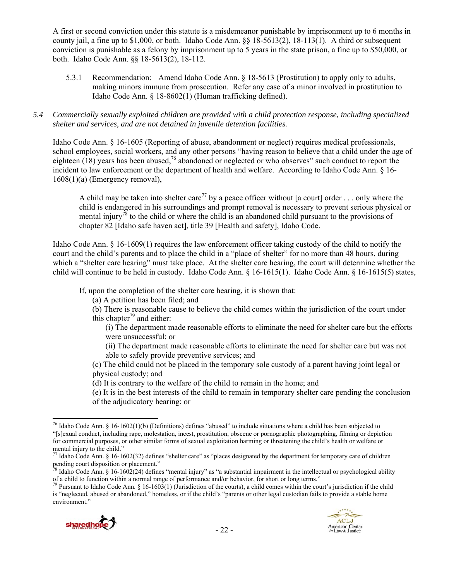A first or second conviction under this statute is a misdemeanor punishable by imprisonment up to 6 months in county jail, a fine up to \$1,000, or both. Idaho Code Ann. §§ 18-5613(2), 18-113(1). A third or subsequent conviction is punishable as a felony by imprisonment up to 5 years in the state prison, a fine up to \$50,000, or both. Idaho Code Ann. §§ 18-5613(2), 18-112.

5.3.1 Recommendation: Amend Idaho Code Ann. § 18-5613 (Prostitution) to apply only to adults, making minors immune from prosecution. Refer any case of a minor involved in prostitution to Idaho Code Ann. § 18-8602(1) (Human trafficking defined).

#### *5.4 Commercially sexually exploited children are provided with a child protection response, including specialized shelter and services, and are not detained in juvenile detention facilities.*

Idaho Code Ann. § 16-1605 (Reporting of abuse, abandonment or neglect) requires medical professionals, school employees, social workers, and any other persons "having reason to believe that a child under the age of eighteen  $(18)$  years has been abused,<sup>76</sup> abandoned or neglected or who observes" such conduct to report the incident to law enforcement or the department of health and welfare. According to Idaho Code Ann. § 16- 1608(1)(a) (Emergency removal),

A child may be taken into shelter care<sup>77</sup> by a peace officer without [a court] order . . . only where the child is endangered in his surroundings and prompt removal is necessary to prevent serious physical or mental injury<sup>78</sup> to the child or where the child is an abandoned child pursuant to the provisions of chapter 82 [Idaho safe haven act], title 39 [Health and safety], Idaho Code.

Idaho Code Ann. § 16-1609(1) requires the law enforcement officer taking custody of the child to notify the court and the child's parents and to place the child in a "place of shelter" for no more than 48 hours, during which a "shelter care hearing" must take place. At the shelter care hearing, the court will determine whether the child will continue to be held in custody. Idaho Code Ann. § 16-1615(1). Idaho Code Ann. § 16-1615(5) states,

If, upon the completion of the shelter care hearing, it is shown that:

(a) A petition has been filed; and

(b) There is reasonable cause to believe the child comes within the jurisdiction of the court under this chapter<sup>79</sup> and either:

(i) The department made reasonable efforts to eliminate the need for shelter care but the efforts were unsuccessful; or

(ii) The department made reasonable efforts to eliminate the need for shelter care but was not able to safely provide preventive services; and

(c) The child could not be placed in the temporary sole custody of a parent having joint legal or physical custody; and

(d) It is contrary to the welfare of the child to remain in the home; and

(e) It is in the best interests of the child to remain in temporary shelter care pending the conclusion of the adjudicatory hearing; or

is "neglected, abused or abandoned," homeless, or if the child's "parents or other legal custodian fails to provide a stable home environment."





  $76$  Idaho Code Ann. § 16-1602(1)(b) (Definitions) defines "abused" to include situations where a child has been subjected to "[s]exual conduct, including rape, molestation, incest, prostitution, obscene or pornographic photographing, filming or depiction for commercial purposes, or other similar forms of sexual exploitation harming or threatening the child's health or welfare or mental injury to the child."

 $^{77}$  Idaho Code Ann. § 16-1602(32) defines "shelter care" as "places designated by the department for temporary care of children pending court disposition or placement."

Idaho Code Ann. § 16-1602(24) defines "mental injury" as "a substantial impairment in the intellectual or psychological ability of a child to function within a normal range of performance and/or behavior, for short or long terms."<br><sup>79</sup> Pursuant to Idaho Code Ann. § 16-1603(1) (Jurisdiction of the courts), a child comes within the court's jurisdict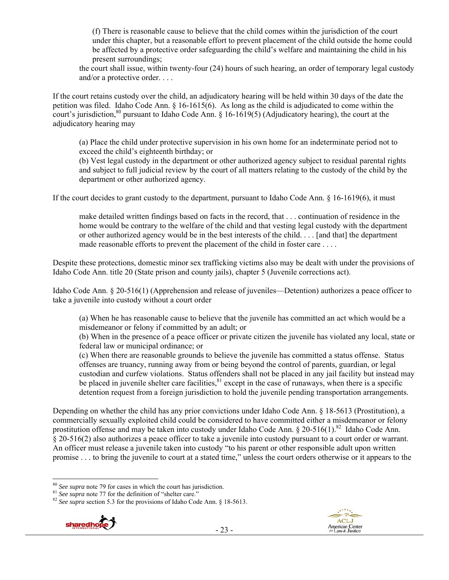(f) There is reasonable cause to believe that the child comes within the jurisdiction of the court under this chapter, but a reasonable effort to prevent placement of the child outside the home could be affected by a protective order safeguarding the child's welfare and maintaining the child in his present surroundings;

the court shall issue, within twenty-four (24) hours of such hearing, an order of temporary legal custody and/or a protective order. . . .

If the court retains custody over the child, an adjudicatory hearing will be held within 30 days of the date the petition was filed. Idaho Code Ann. § 16-1615(6). As long as the child is adjudicated to come within the court's jurisdiction,  $80$  pursuant to Idaho Code Ann.  $\frac{1}{6}$  16-1619(5) (Adjudicatory hearing), the court at the adjudicatory hearing may

(a) Place the child under protective supervision in his own home for an indeterminate period not to exceed the child's eighteenth birthday; or

(b) Vest legal custody in the department or other authorized agency subject to residual parental rights and subject to full judicial review by the court of all matters relating to the custody of the child by the department or other authorized agency.

If the court decides to grant custody to the department, pursuant to Idaho Code Ann. § 16-1619(6), it must

make detailed written findings based on facts in the record, that . . . continuation of residence in the home would be contrary to the welfare of the child and that vesting legal custody with the department or other authorized agency would be in the best interests of the child. . . . [and that] the department made reasonable efforts to prevent the placement of the child in foster care . . . .

Despite these protections, domestic minor sex trafficking victims also may be dealt with under the provisions of Idaho Code Ann. title 20 (State prison and county jails), chapter 5 (Juvenile corrections act).

Idaho Code Ann. § 20-516(1) (Apprehension and release of juveniles—Detention) authorizes a peace officer to take a juvenile into custody without a court order

(a) When he has reasonable cause to believe that the juvenile has committed an act which would be a misdemeanor or felony if committed by an adult; or

(b) When in the presence of a peace officer or private citizen the juvenile has violated any local, state or federal law or municipal ordinance; or

(c) When there are reasonable grounds to believe the juvenile has committed a status offense. Status offenses are truancy, running away from or being beyond the control of parents, guardian, or legal custodian and curfew violations. Status offenders shall not be placed in any jail facility but instead may be placed in juvenile shelter care facilities,  $81$  except in the case of runaways, when there is a specific detention request from a foreign jurisdiction to hold the juvenile pending transportation arrangements.

Depending on whether the child has any prior convictions under Idaho Code Ann. § 18-5613 (Prostitution), a commercially sexually exploited child could be considered to have committed either a misdemeanor or felony prostitution offense and may be taken into custody under Idaho Code Ann. § 20-516(1).<sup>82</sup> Idaho Code Ann. § 20-516(2) also authorizes a peace officer to take a juvenile into custody pursuant to a court order or warrant. An officer must release a juvenile taken into custody "to his parent or other responsible adult upon written promise . . . to bring the juvenile to court at a stated time," unless the court orders otherwise or it appears to the

<sup>&</sup>lt;sup>81</sup> *See supra* note 77 for the definition of "shelter care." <sup>82</sup> *See supra* section 5.3 for the provisions of Idaho Code Ann. § 18-5613.





 $80$  See supra note 79 for cases in which the court has jurisdiction.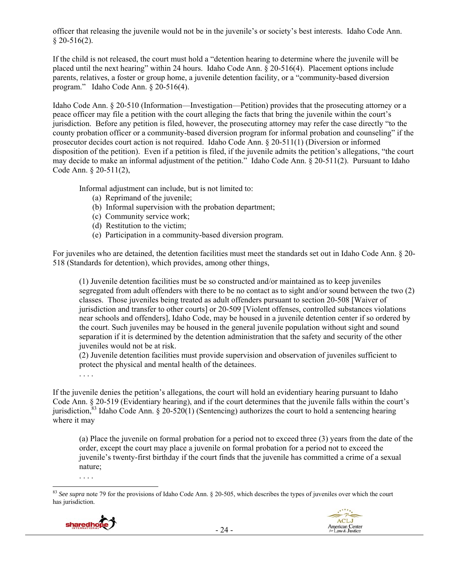officer that releasing the juvenile would not be in the juvenile's or society's best interests. Idaho Code Ann.  $§$  20-516(2).

If the child is not released, the court must hold a "detention hearing to determine where the juvenile will be placed until the next hearing" within 24 hours. Idaho Code Ann. § 20-516(4). Placement options include parents, relatives, a foster or group home, a juvenile detention facility, or a "community-based diversion program." Idaho Code Ann. § 20-516(4).

Idaho Code Ann. § 20-510 (Information—Investigation—Petition) provides that the prosecuting attorney or a peace officer may file a petition with the court alleging the facts that bring the juvenile within the court's jurisdiction. Before any petition is filed, however, the prosecuting attorney may refer the case directly "to the county probation officer or a community-based diversion program for informal probation and counseling" if the prosecutor decides court action is not required. Idaho Code Ann. § 20-511(1) (Diversion or informed disposition of the petition). Even if a petition is filed, if the juvenile admits the petition's allegations, "the court may decide to make an informal adjustment of the petition." Idaho Code Ann. § 20-511(2). Pursuant to Idaho Code Ann. § 20-511(2),

Informal adjustment can include, but is not limited to:

- (a) Reprimand of the juvenile;
- (b) Informal supervision with the probation department;
- (c) Community service work;
- (d) Restitution to the victim;
- (e) Participation in a community-based diversion program.

For juveniles who are detained, the detention facilities must meet the standards set out in Idaho Code Ann. § 20- 518 (Standards for detention), which provides, among other things,

(1) Juvenile detention facilities must be so constructed and/or maintained as to keep juveniles segregated from adult offenders with there to be no contact as to sight and/or sound between the two (2) classes. Those juveniles being treated as adult offenders pursuant to section 20-508 [Waiver of jurisdiction and transfer to other courts] or 20-509 [Violent offenses, controlled substances violations near schools and offenders], Idaho Code, may be housed in a juvenile detention center if so ordered by the court. Such juveniles may be housed in the general juvenile population without sight and sound separation if it is determined by the detention administration that the safety and security of the other juveniles would not be at risk.

(2) Juvenile detention facilities must provide supervision and observation of juveniles sufficient to protect the physical and mental health of the detainees.

. . . .

If the juvenile denies the petition's allegations, the court will hold an evidentiary hearing pursuant to Idaho Code Ann. § 20-519 (Evidentiary hearing), and if the court determines that the juvenile falls within the court's jurisdiction,<sup>83</sup> Idaho Code Ann. § 20-520(1) (Sentencing) authorizes the court to hold a sentencing hearing where it may

(a) Place the juvenile on formal probation for a period not to exceed three (3) years from the date of the order, except the court may place a juvenile on formal probation for a period not to exceed the juvenile's twenty-first birthday if the court finds that the juvenile has committed a crime of a sexual nature;

 <sup>83</sup> *See supra* note 79 for the provisions of Idaho Code Ann. § 20-505, which describes the types of juveniles over which the court has jurisdiction.



. . . .

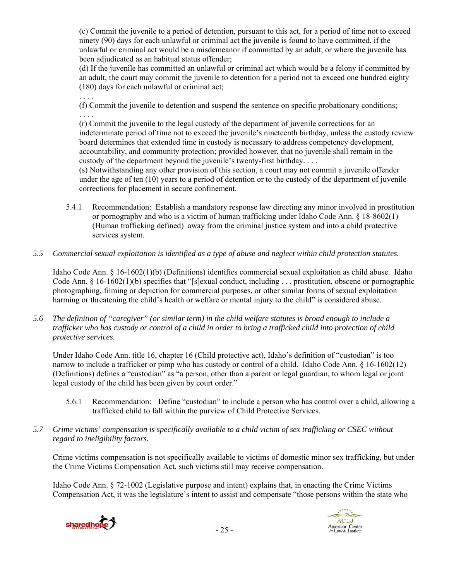(c) Commit the juvenile to a period of detention, pursuant to this act, for a period of time not to exceed ninety (90) days for each unlawful or criminal act the juvenile is found to have committed, if the unlawful or criminal act would be a misdemeanor if committed by an adult, or where the juvenile has been adjudicated as an habitual status offender;

(d) If the juvenile has committed an unlawful or criminal act which would be a felony if committed by an adult, the court may commit the juvenile to detention for a period not to exceed one hundred eighty (180) days for each unlawful or criminal act;

(f) Commit the juvenile to detention and suspend the sentence on specific probationary conditions; . . . .

(r) Commit the juvenile to the legal custody of the department of juvenile corrections for an indeterminate period of time not to exceed the juvenile's nineteenth birthday, unless the custody review board determines that extended time in custody is necessary to address competency development, accountability, and community protection; provided however, that no juvenile shall remain in the custody of the department beyond the juvenile's twenty-first birthday. . . .

(s) Notwithstanding any other provision of this section, a court may not commit a juvenile offender under the age of ten (10) years to a period of detention or to the custody of the department of juvenile corrections for placement in secure confinement.

- 5.4.1 Recommendation: Establish a mandatory response law directing any minor involved in prostitution or pornography and who is a victim of human trafficking under Idaho Code Ann. § 18-8602(1) (Human trafficking defined) away from the criminal justice system and into a child protective services system.
- *5.5 Commercial sexual exploitation is identified as a type of abuse and neglect within child protection statutes.*

Idaho Code Ann. § 16-1602(1)(b) (Definitions) identifies commercial sexual exploitation as child abuse. Idaho Code Ann. § 16-1602(1)(b) specifies that "[s]exual conduct, including . . . prostitution, obscene or pornographic photographing, filming or depiction for commercial purposes, or other similar forms of sexual exploitation harming or threatening the child's health or welfare or mental injury to the child" is considered abuse.

*5.6 The definition of "caregiver" (or similar term) in the child welfare statutes is broad enough to include a trafficker who has custody or control of a child in order to bring a trafficked child into protection of child protective services.* 

Under Idaho Code Ann. title 16, chapter 16 (Child protective act), Idaho's definition of "custodian" is too narrow to include a trafficker or pimp who has custody or control of a child. Idaho Code Ann. § 16-1602(12) (Definitions) defines a "custodian" as "a person, other than a parent or legal guardian, to whom legal or joint legal custody of the child has been given by court order."

- 5.6.1 Recommendation: Define "custodian" to include a person who has control over a child, allowing a trafficked child to fall within the purview of Child Protective Services.
- *5.7 Crime victims' compensation is specifically available to a child victim of sex trafficking or CSEC without regard to ineligibility factors.*

Crime victims compensation is not specifically available to victims of domestic minor sex trafficking, but under the Crime Victims Compensation Act, such victims still may receive compensation.

Idaho Code Ann. § 72-1002 (Legislative purpose and intent) explains that, in enacting the Crime Victims Compensation Act, it was the legislature's intent to assist and compensate "those persons within the state who



. . . .

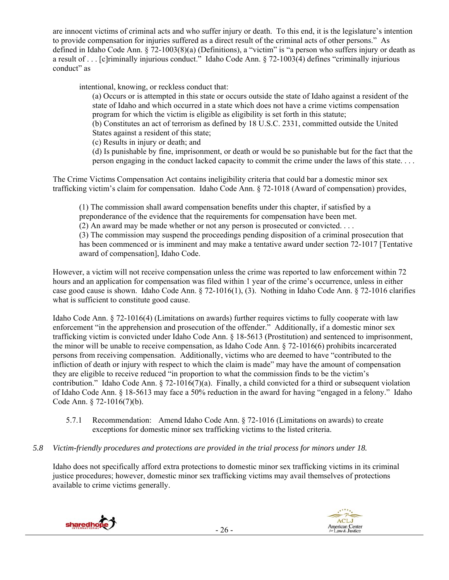are innocent victims of criminal acts and who suffer injury or death. To this end, it is the legislature's intention to provide compensation for injuries suffered as a direct result of the criminal acts of other persons." As defined in Idaho Code Ann. § 72-1003(8)(a) (Definitions), a "victim" is "a person who suffers injury or death as a result of . . . [c]riminally injurious conduct." Idaho Code Ann. § 72-1003(4) defines "criminally injurious conduct" as

intentional, knowing, or reckless conduct that:

(a) Occurs or is attempted in this state or occurs outside the state of Idaho against a resident of the state of Idaho and which occurred in a state which does not have a crime victims compensation program for which the victim is eligible as eligibility is set forth in this statute;

(b) Constitutes an act of terrorism as defined by 18 U.S.C. 2331, committed outside the United States against a resident of this state;

(c) Results in injury or death; and

(d) Is punishable by fine, imprisonment, or death or would be so punishable but for the fact that the person engaging in the conduct lacked capacity to commit the crime under the laws of this state. . . .

The Crime Victims Compensation Act contains ineligibility criteria that could bar a domestic minor sex trafficking victim's claim for compensation. Idaho Code Ann. § 72-1018 (Award of compensation) provides,

(1) The commission shall award compensation benefits under this chapter, if satisfied by a preponderance of the evidence that the requirements for compensation have been met. (2) An award may be made whether or not any person is prosecuted or convicted. . . . (3) The commission may suspend the proceedings pending disposition of a criminal prosecution that has been commenced or is imminent and may make a tentative award under section 72-1017 [Tentative award of compensation], Idaho Code.

However, a victim will not receive compensation unless the crime was reported to law enforcement within 72 hours and an application for compensation was filed within 1 year of the crime's occurrence, unless in either case good cause is shown. Idaho Code Ann. § 72-1016(1), (3). Nothing in Idaho Code Ann. § 72-1016 clarifies what is sufficient to constitute good cause.

Idaho Code Ann. § 72-1016(4) (Limitations on awards) further requires victims to fully cooperate with law enforcement "in the apprehension and prosecution of the offender." Additionally, if a domestic minor sex trafficking victim is convicted under Idaho Code Ann. § 18-5613 (Prostitution) and sentenced to imprisonment, the minor will be unable to receive compensation, as Idaho Code Ann. § 72-1016(6) prohibits incarcerated persons from receiving compensation. Additionally, victims who are deemed to have "contributed to the infliction of death or injury with respect to which the claim is made" may have the amount of compensation they are eligible to receive reduced "in proportion to what the commission finds to be the victim's contribution." Idaho Code Ann. § 72-1016(7)(a). Finally, a child convicted for a third or subsequent violation of Idaho Code Ann. § 18-5613 may face a 50% reduction in the award for having "engaged in a felony." Idaho Code Ann. § 72-1016(7)(b).

- 5.7.1 Recommendation: Amend Idaho Code Ann. § 72-1016 (Limitations on awards) to create exceptions for domestic minor sex trafficking victims to the listed criteria.
- *5.8 Victim-friendly procedures and protections are provided in the trial process for minors under 18.*

Idaho does not specifically afford extra protections to domestic minor sex trafficking victims in its criminal justice procedures; however, domestic minor sex trafficking victims may avail themselves of protections available to crime victims generally.



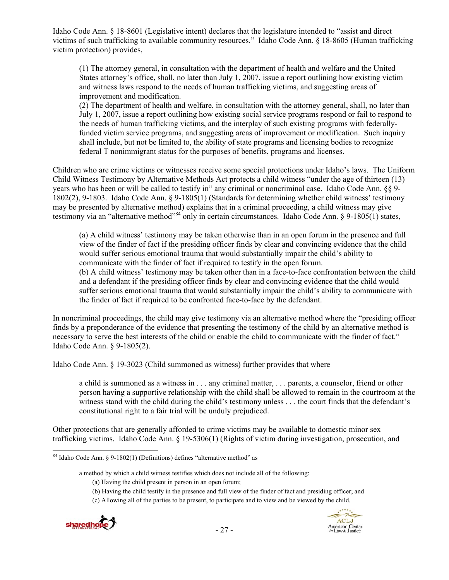Idaho Code Ann. § 18-8601 (Legislative intent) declares that the legislature intended to "assist and direct victims of such trafficking to available community resources." Idaho Code Ann. § 18-8605 (Human trafficking victim protection) provides,

(1) The attorney general, in consultation with the department of health and welfare and the United States attorney's office, shall, no later than July 1, 2007, issue a report outlining how existing victim and witness laws respond to the needs of human trafficking victims, and suggesting areas of improvement and modification.

(2) The department of health and welfare, in consultation with the attorney general, shall, no later than July 1, 2007, issue a report outlining how existing social service programs respond or fail to respond to the needs of human trafficking victims, and the interplay of such existing programs with federallyfunded victim service programs, and suggesting areas of improvement or modification. Such inquiry shall include, but not be limited to, the ability of state programs and licensing bodies to recognize federal T nonimmigrant status for the purposes of benefits, programs and licenses.

Children who are crime victims or witnesses receive some special protections under Idaho's laws. The Uniform Child Witness Testimony by Alternative Methods Act protects a child witness "under the age of thirteen (13) years who has been or will be called to testify in" any criminal or noncriminal case. Idaho Code Ann. §§ 9- 1802(2), 9-1803. Idaho Code Ann. § 9-1805(1) (Standards for determining whether child witness' testimony may be presented by alternative method) explains that in a criminal proceeding, a child witness may give testimony via an "alternative method"<sup>84</sup> only in certain circumstances. Idaho Code Ann. § 9-1805(1) states,

(a) A child witness' testimony may be taken otherwise than in an open forum in the presence and full view of the finder of fact if the presiding officer finds by clear and convincing evidence that the child would suffer serious emotional trauma that would substantially impair the child's ability to communicate with the finder of fact if required to testify in the open forum.

(b) A child witness' testimony may be taken other than in a face-to-face confrontation between the child and a defendant if the presiding officer finds by clear and convincing evidence that the child would suffer serious emotional trauma that would substantially impair the child's ability to communicate with the finder of fact if required to be confronted face-to-face by the defendant.

In noncriminal proceedings, the child may give testimony via an alternative method where the "presiding officer finds by a preponderance of the evidence that presenting the testimony of the child by an alternative method is necessary to serve the best interests of the child or enable the child to communicate with the finder of fact." Idaho Code Ann. § 9-1805(2).

Idaho Code Ann. § 19-3023 (Child summoned as witness) further provides that where

a child is summoned as a witness in . . . any criminal matter, . . . parents, a counselor, friend or other person having a supportive relationship with the child shall be allowed to remain in the courtroom at the witness stand with the child during the child's testimony unless . . . the court finds that the defendant's constitutional right to a fair trial will be unduly prejudiced.

Other protections that are generally afforded to crime victims may be available to domestic minor sex trafficking victims. Idaho Code Ann. § 19-5306(1) (Rights of victim during investigation, prosecution, and

a method by which a child witness testifies which does not include all of the following:

<sup>(</sup>c) Allowing all of the parties to be present, to participate and to view and be viewed by the child.





<sup>&</sup>lt;sup>84</sup> Idaho Code Ann. § 9-1802(1) (Definitions) defines "alternative method" as

<sup>(</sup>a) Having the child present in person in an open forum;

<sup>(</sup>b) Having the child testify in the presence and full view of the finder of fact and presiding officer; and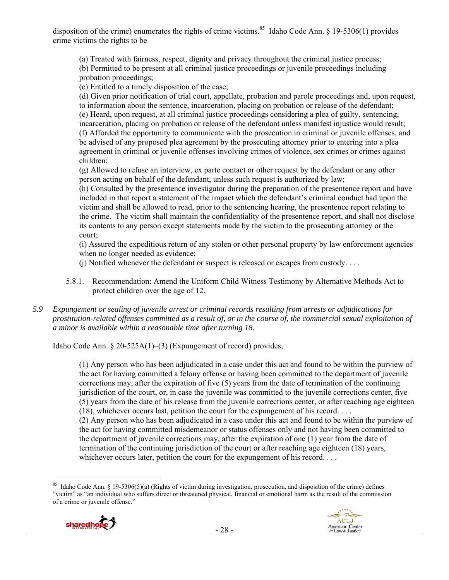disposition of the crime) enumerates the rights of crime victims.<sup>85</sup> Idaho Code Ann. § 19-5306(1) provides crime victims the rights to be

(a) Treated with fairness, respect, dignity and privacy throughout the criminal justice process; (b) Permitted to be present at all criminal justice proceedings or juvenile proceedings including probation proceedings;

(c) Entitled to a timely disposition of the case;

(d) Given prior notification of trial court, appellate, probation and parole proceedings and, upon request, to information about the sentence, incarceration, placing on probation or release of the defendant; (e) Heard, upon request, at all criminal justice proceedings considering a plea of guilty, sentencing, incarceration, placing on probation or release of the defendant unless manifest injustice would result; (f) Afforded the opportunity to communicate with the prosecution in criminal or juvenile offenses, and be advised of any proposed plea agreement by the prosecuting attorney prior to entering into a plea agreement in criminal or juvenile offenses involving crimes of violence, sex crimes or crimes against children;

(g) Allowed to refuse an interview, ex parte contact or other request by the defendant or any other person acting on behalf of the defendant, unless such request is authorized by law;

(h) Consulted by the presentence investigator during the preparation of the presentence report and have included in that report a statement of the impact which the defendant's criminal conduct had upon the victim and shall be allowed to read, prior to the sentencing hearing, the presentence report relating to the crime. The victim shall maintain the confidentiality of the presentence report, and shall not disclose its contents to any person except statements made by the victim to the prosecuting attorney or the court;

(i) Assured the expeditious return of any stolen or other personal property by law enforcement agencies when no longer needed as evidence;

(j) Notified whenever the defendant or suspect is released or escapes from custody. . . .

- 5.8.1. Recommendation: Amend the Uniform Child Witness Testimony by Alternative Methods Act to protect children over the age of 12.
- *5.9 Expungement or sealing of juvenile arrest or criminal records resulting from arrests or adjudications for prostitution-related offenses committed as a result of, or in the course of, the commercial sexual exploitation of a minor is available within a reasonable time after turning 18.*

Idaho Code Ann. § 20-525A(1)–(3) (Expungement of record) provides,

(1) Any person who has been adjudicated in a case under this act and found to be within the purview of the act for having committed a felony offense or having been committed to the department of juvenile corrections may, after the expiration of five (5) years from the date of termination of the continuing jurisdiction of the court, or, in case the juvenile was committed to the juvenile corrections center, five (5) years from the date of his release from the juvenile corrections center, or after reaching age eighteen (18), whichever occurs last, petition the court for the expungement of his record. . . .

(2) Any person who has been adjudicated in a case under this act and found to be within the purview of the act for having committed misdemeanor or status offenses only and not having been committed to the department of juvenile corrections may, after the expiration of one (1) year from the date of termination of the continuing jurisdiction of the court or after reaching age eighteen (18) years, whichever occurs later, petition the court for the expungement of his record. . . .

<sup>&</sup>lt;sup>85</sup> Idaho Code Ann. § 19-5306(5)(a) (Rights of victim during investigation, prosecution, and disposition of the crime) defines "victim" as "an individual who suffers direct or threatened physical, financial or emotional harm as the result of the commission of a crime or juvenile offense."



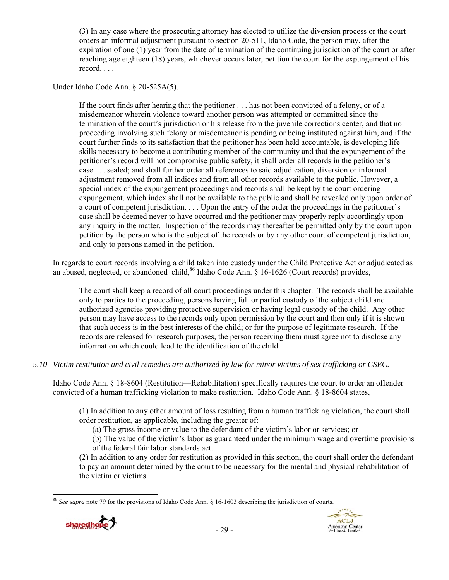(3) In any case where the prosecuting attorney has elected to utilize the diversion process or the court orders an informal adjustment pursuant to section 20-511, Idaho Code, the person may, after the expiration of one (1) year from the date of termination of the continuing jurisdiction of the court or after reaching age eighteen (18) years, whichever occurs later, petition the court for the expungement of his record. . . .

Under Idaho Code Ann. § 20-525A(5),

If the court finds after hearing that the petitioner . . . has not been convicted of a felony, or of a misdemeanor wherein violence toward another person was attempted or committed since the termination of the court's jurisdiction or his release from the juvenile corrections center, and that no proceeding involving such felony or misdemeanor is pending or being instituted against him, and if the court further finds to its satisfaction that the petitioner has been held accountable, is developing life skills necessary to become a contributing member of the community and that the expungement of the petitioner's record will not compromise public safety, it shall order all records in the petitioner's case . . . sealed; and shall further order all references to said adjudication, diversion or informal adjustment removed from all indices and from all other records available to the public. However, a special index of the expungement proceedings and records shall be kept by the court ordering expungement, which index shall not be available to the public and shall be revealed only upon order of a court of competent jurisdiction. . . . Upon the entry of the order the proceedings in the petitioner's case shall be deemed never to have occurred and the petitioner may properly reply accordingly upon any inquiry in the matter. Inspection of the records may thereafter be permitted only by the court upon petition by the person who is the subject of the records or by any other court of competent jurisdiction, and only to persons named in the petition.

In regards to court records involving a child taken into custody under the Child Protective Act or adjudicated as an abused, neglected, or abandoned child,  $86$  Idaho Code Ann. § 16-1626 (Court records) provides,

The court shall keep a record of all court proceedings under this chapter. The records shall be available only to parties to the proceeding, persons having full or partial custody of the subject child and authorized agencies providing protective supervision or having legal custody of the child. Any other person may have access to the records only upon permission by the court and then only if it is shown that such access is in the best interests of the child; or for the purpose of legitimate research. If the records are released for research purposes, the person receiving them must agree not to disclose any information which could lead to the identification of the child.

## *5.10 Victim restitution and civil remedies are authorized by law for minor victims of sex trafficking or CSEC.*

Idaho Code Ann. § 18-8604 (Restitution—Rehabilitation) specifically requires the court to order an offender convicted of a human trafficking violation to make restitution. Idaho Code Ann. § 18-8604 states,

(1) In addition to any other amount of loss resulting from a human trafficking violation, the court shall order restitution, as applicable, including the greater of:

(a) The gross income or value to the defendant of the victim's labor or services; or

(b) The value of the victim's labor as guaranteed under the minimum wage and overtime provisions of the federal fair labor standards act.

(2) In addition to any order for restitution as provided in this section, the court shall order the defendant to pay an amount determined by the court to be necessary for the mental and physical rehabilitation of the victim or victims.

 <sup>86</sup> *See supra* note 79 for the provisions of Idaho Code Ann. § 16-1603 describing the jurisdiction of courts.



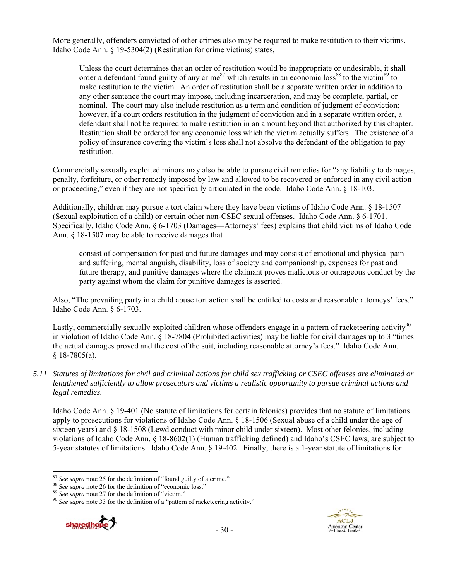More generally, offenders convicted of other crimes also may be required to make restitution to their victims. Idaho Code Ann. § 19-5304(2) (Restitution for crime victims) states,

Unless the court determines that an order of restitution would be inappropriate or undesirable, it shall order a defendant found guilty of any crime<sup>87</sup> which results in an economic loss<sup>88</sup> to the victim<sup>89</sup> to make restitution to the victim. An order of restitution shall be a separate written order in addition to any other sentence the court may impose, including incarceration, and may be complete, partial, or nominal. The court may also include restitution as a term and condition of judgment of conviction; however, if a court orders restitution in the judgment of conviction and in a separate written order, a defendant shall not be required to make restitution in an amount beyond that authorized by this chapter. Restitution shall be ordered for any economic loss which the victim actually suffers. The existence of a policy of insurance covering the victim's loss shall not absolve the defendant of the obligation to pay restitution.

Commercially sexually exploited minors may also be able to pursue civil remedies for "any liability to damages, penalty, forfeiture, or other remedy imposed by law and allowed to be recovered or enforced in any civil action or proceeding," even if they are not specifically articulated in the code. Idaho Code Ann. § 18-103.

Additionally, children may pursue a tort claim where they have been victims of Idaho Code Ann. § 18-1507 (Sexual exploitation of a child) or certain other non-CSEC sexual offenses. Idaho Code Ann. § 6-1701. Specifically, Idaho Code Ann. § 6-1703 (Damages—Attorneys' fees) explains that child victims of Idaho Code Ann. § 18-1507 may be able to receive damages that

consist of compensation for past and future damages and may consist of emotional and physical pain and suffering, mental anguish, disability, loss of society and companionship, expenses for past and future therapy, and punitive damages where the claimant proves malicious or outrageous conduct by the party against whom the claim for punitive damages is asserted.

Also, "The prevailing party in a child abuse tort action shall be entitled to costs and reasonable attorneys' fees." Idaho Code Ann. § 6-1703.

Lastly, commercially sexually exploited children whose offenders engage in a pattern of racketeering activity<sup>90</sup> in violation of Idaho Code Ann. § 18-7804 (Prohibited activities) may be liable for civil damages up to 3 "times the actual damages proved and the cost of the suit, including reasonable attorney's fees." Idaho Code Ann.  $§$  18-7805(a).

*5.11 Statutes of limitations for civil and criminal actions for child sex trafficking or CSEC offenses are eliminated or lengthened sufficiently to allow prosecutors and victims a realistic opportunity to pursue criminal actions and legal remedies.* 

Idaho Code Ann. § 19-401 (No statute of limitations for certain felonies) provides that no statute of limitations apply to prosecutions for violations of Idaho Code Ann. § 18-1506 (Sexual abuse of a child under the age of sixteen years) and § 18-1508 (Lewd conduct with minor child under sixteen). Most other felonies, including violations of Idaho Code Ann. § 18-8602(1) (Human trafficking defined) and Idaho's CSEC laws, are subject to 5-year statutes of limitations. Idaho Code Ann. § 19-402. Finally, there is a 1-year statute of limitations for

<sup>&</sup>lt;sup>87</sup> See supra note 25 for the definition of "found guilty of a crime."<br><sup>88</sup> See supra note 26 for the definition of "economic loss."<br><sup>89</sup> See supra note 27 for the definition of "victim."<br><sup>90</sup> See supra note 33 for the d



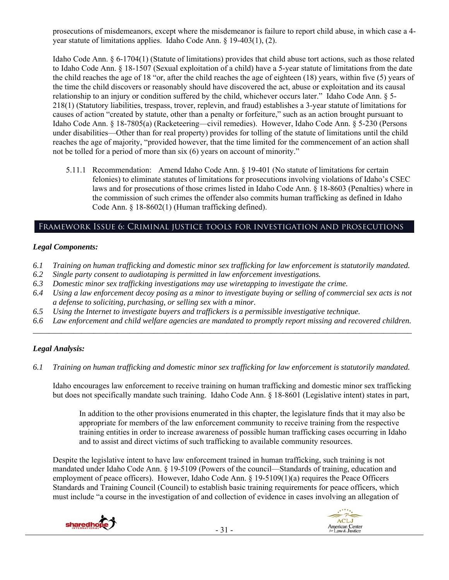prosecutions of misdemeanors, except where the misdemeanor is failure to report child abuse, in which case a 4 year statute of limitations applies. Idaho Code Ann. § 19-403(1), (2).

Idaho Code Ann. § 6-1704(1) (Statute of limitations) provides that child abuse tort actions, such as those related to Idaho Code Ann. § 18-1507 (Sexual exploitation of a child) have a 5-year statute of limitations from the date the child reaches the age of 18 "or, after the child reaches the age of eighteen (18) years, within five (5) years of the time the child discovers or reasonably should have discovered the act, abuse or exploitation and its causal relationship to an injury or condition suffered by the child, whichever occurs later." Idaho Code Ann. § 5- 218(1) (Statutory liabilities, trespass, trover, replevin, and fraud) establishes a 3-year statute of limitations for causes of action "created by statute, other than a penalty or forfeiture," such as an action brought pursuant to Idaho Code Ann. § 18-7805(a) (Racketeering—civil remedies). However, Idaho Code Ann. § 5-230 (Persons under disabilities—Other than for real property) provides for tolling of the statute of limitations until the child reaches the age of majority, "provided however, that the time limited for the commencement of an action shall not be tolled for a period of more than six (6) years on account of minority."

5.11.1 Recommendation: Amend Idaho Code Ann. § 19-401 (No statute of limitations for certain felonies) to eliminate statutes of limitations for prosecutions involving violations of Idaho's CSEC laws and for prosecutions of those crimes listed in Idaho Code Ann. § 18-8603 (Penalties) where in the commission of such crimes the offender also commits human trafficking as defined in Idaho Code Ann. § 18-8602(1) (Human trafficking defined).

## Framework Issue 6: Criminal justice tools for investigation and prosecutions

#### *Legal Components:*

- *6.1 Training on human trafficking and domestic minor sex trafficking for law enforcement is statutorily mandated.*
- *6.2 Single party consent to audiotaping is permitted in law enforcement investigations.*
- *6.3 Domestic minor sex trafficking investigations may use wiretapping to investigate the crime.*
- *6.4 Using a law enforcement decoy posing as a minor to investigate buying or selling of commercial sex acts is not a defense to soliciting, purchasing, or selling sex with a minor.*
- *6.5 Using the Internet to investigate buyers and traffickers is a permissible investigative technique.*
- *6.6 Law enforcement and child welfare agencies are mandated to promptly report missing and recovered children. \_\_\_\_\_\_\_\_\_\_\_\_\_\_\_\_\_\_\_\_\_\_\_\_\_\_\_\_\_\_\_\_\_\_\_\_\_\_\_\_\_\_\_\_\_\_\_\_\_\_\_\_\_\_\_\_\_\_\_\_\_\_\_\_\_\_\_\_\_\_\_\_\_\_\_\_\_\_\_\_\_\_\_\_\_\_\_\_\_\_\_\_\_\_*

## *Legal Analysis:*

*6.1 Training on human trafficking and domestic minor sex trafficking for law enforcement is statutorily mandated.*

Idaho encourages law enforcement to receive training on human trafficking and domestic minor sex trafficking but does not specifically mandate such training. Idaho Code Ann. § 18-8601 (Legislative intent) states in part,

In addition to the other provisions enumerated in this chapter, the legislature finds that it may also be appropriate for members of the law enforcement community to receive training from the respective training entities in order to increase awareness of possible human trafficking cases occurring in Idaho and to assist and direct victims of such trafficking to available community resources.

Despite the legislative intent to have law enforcement trained in human trafficking, such training is not mandated under Idaho Code Ann. § 19-5109 (Powers of the council—Standards of training, education and employment of peace officers). However, Idaho Code Ann. § 19-5109(1)(a) requires the Peace Officers Standards and Training Council (Council) to establish basic training requirements for peace officers, which must include "a course in the investigation of and collection of evidence in cases involving an allegation of



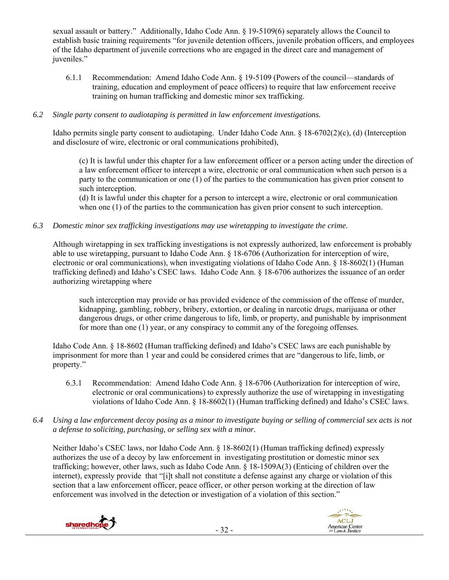sexual assault or battery." Additionally, Idaho Code Ann. § 19-5109(6) separately allows the Council to establish basic training requirements "for juvenile detention officers, juvenile probation officers, and employees of the Idaho department of juvenile corrections who are engaged in the direct care and management of juveniles."

6.1.1 Recommendation: Amend Idaho Code Ann. § 19-5109 (Powers of the council—standards of training, education and employment of peace officers) to require that law enforcement receive training on human trafficking and domestic minor sex trafficking.

# *6.2 Single party consent to audiotaping is permitted in law enforcement investigations.*

Idaho permits single party consent to audiotaping. Under Idaho Code Ann. § 18-6702(2)(c), (d) (Interception and disclosure of wire, electronic or oral communications prohibited),

(c) It is lawful under this chapter for a law enforcement officer or a person acting under the direction of a law enforcement officer to intercept a wire, electronic or oral communication when such person is a party to the communication or one (1) of the parties to the communication has given prior consent to such interception.

(d) It is lawful under this chapter for a person to intercept a wire, electronic or oral communication when one (1) of the parties to the communication has given prior consent to such interception.

# *6.3 Domestic minor sex trafficking investigations may use wiretapping to investigate the crime.*

Although wiretapping in sex trafficking investigations is not expressly authorized, law enforcement is probably able to use wiretapping, pursuant to Idaho Code Ann. § 18-6706 (Authorization for interception of wire, electronic or oral communications), when investigating violations of Idaho Code Ann. § 18-8602(1) (Human trafficking defined) and Idaho's CSEC laws. Idaho Code Ann. § 18-6706 authorizes the issuance of an order authorizing wiretapping where

such interception may provide or has provided evidence of the commission of the offense of murder, kidnapping, gambling, robbery, bribery, extortion, or dealing in narcotic drugs, marijuana or other dangerous drugs, or other crime dangerous to life, limb, or property, and punishable by imprisonment for more than one (1) year, or any conspiracy to commit any of the foregoing offenses.

Idaho Code Ann. § 18-8602 (Human trafficking defined) and Idaho's CSEC laws are each punishable by imprisonment for more than 1 year and could be considered crimes that are "dangerous to life, limb, or property."

- 6.3.1 Recommendation: Amend Idaho Code Ann. § 18-6706 (Authorization for interception of wire, electronic or oral communications) to expressly authorize the use of wiretapping in investigating violations of Idaho Code Ann. § 18-8602(1) (Human trafficking defined) and Idaho's CSEC laws.
- *6.4 Using a law enforcement decoy posing as a minor to investigate buying or selling of commercial sex acts is not a defense to soliciting, purchasing, or selling sex with a minor.*

Neither Idaho's CSEC laws, nor Idaho Code Ann. § 18-8602(1) (Human trafficking defined) expressly authorizes the use of a decoy by law enforcement in investigating prostitution or domestic minor sex trafficking; however, other laws, such as Idaho Code Ann. § 18-1509A(3) (Enticing of children over the internet), expressly provide that "[i]t shall not constitute a defense against any charge or violation of this section that a law enforcement officer, peace officer, or other person working at the direction of law enforcement was involved in the detection or investigation of a violation of this section."